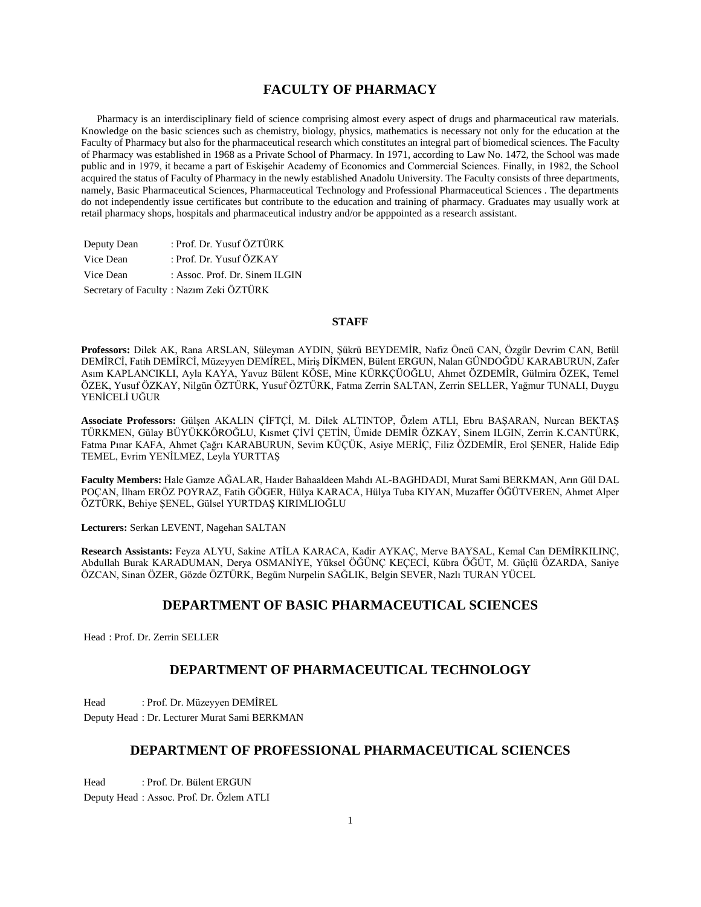# **FACULTY OF PHARMACY**

 Pharmacy is an interdisciplinary field of science comprising almost every aspect of drugs and pharmaceutical raw materials. Knowledge on the basic sciences such as chemistry, biology, physics, mathematics is necessary not only for the education at the Faculty of Pharmacy but also for the pharmaceutical research which constitutes an integral part of biomedical sciences. The Faculty of Pharmacy was established in 1968 as a Private School of Pharmacy. In 1971, according to Law No. 1472, the School was made public and in 1979, it became a part of Eskişehir Academy of Economics and Commercial Sciences. Finally, in 1982, the School acquired the status of Faculty of Pharmacy in the newly established Anadolu University. The Faculty consists of three departments, namely, Basic Pharmaceutical Sciences, Pharmaceutical Technology and Professional Pharmaceutical Sciences . The departments do not independently issue certificates but contribute to the education and training of pharmacy. Graduates may usually work at retail pharmacy shops, hospitals and pharmaceutical industry and/or be apppointed as a research assistant.

| Deputy Dean | : Prof. Dr. Yusuf ÖZTÜRK                |
|-------------|-----------------------------------------|
| Vice Dean   | : Prof. Dr. Yusuf ÖZKAY                 |
| Vice Dean   | : Assoc. Prof. Dr. Sinem ILGIN          |
|             | Secretary of Faculty: Nazım Zeki ÖZTÜRK |

## **STAFF**

**Professors:** Dilek AK, Rana ARSLAN, Süleyman AYDIN, Şükrü BEYDEMİR, Nafiz Öncü CAN, Özgür Devrim CAN, Betül DEMİRCİ, Fatih DEMİRCİ, Müzeyyen DEMİREL, Miriş DİKMEN, Bülent ERGUN, Nalan GÜNDOĞDU KARABURUN, Zafer Asım KAPLANCIKLI, Ayla KAYA, Yavuz Bülent KÖSE, Mine KÜRKÇÜOĞLU, Ahmet ÖZDEMİR, Gülmira ÖZEK, Temel ÖZEK, Yusuf ÖZKAY, Nilgün ÖZTÜRK, Yusuf ÖZTÜRK, Fatma Zerrin SALTAN, Zerrin SELLER, Yağmur TUNALI, Duygu YENİCELİ UĞUR

**Associate Professors:** Gülşen AKALIN ÇİFTÇİ, M. Dilek ALTINTOP, Özlem ATLI, Ebru BAŞARAN, Nurcan BEKTAŞ TÜRKMEN, Gülay BÜYÜKKÖROĞLU, Kısmet ÇİVİ ÇETİN, Ümide DEMİR ÖZKAY, Sinem ILGIN, Zerrin K.CANTÜRK, Fatma Pınar KAFA, Ahmet Çağrı KARABURUN, Sevim KÜÇÜK, Asiye MERİÇ, Filiz ÖZDEMİR, Erol ŞENER, Halide Edip TEMEL, Evrim YENİLMEZ, Leyla YURTTAŞ

**Faculty Members:** Hale Gamze AĞALAR, Haıder Bahaaldeen Mahdı AL-BAGHDADI, Murat Sami BERKMAN, Arın Gül DAL POÇAN, İlham ERÖZ POYRAZ, Fatih GÖGER, Hülya KARACA, Hülya Tuba KIYAN, Muzaffer ÖĞÜTVEREN, Ahmet Alper ÖZTÜRK, Behiye ŞENEL, Gülsel YURTDAŞ KIRIMLIOĞLU

**Lecturers:** Serkan LEVENT, Nagehan SALTAN

**Research Assistants:** Feyza ALYU, Sakine ATİLA KARACA, Kadir AYKAÇ, Merve BAYSAL, Kemal Can DEMİRKILINÇ, Abdullah Burak KARADUMAN, Derya OSMANİYE, Yüksel ÖĞÜNÇ KEÇECİ, Kübra ÖĞÜT, M. Güçlü ÖZARDA, Saniye ÖZCAN, Sinan ÖZER, Gözde ÖZTÜRK, Begüm Nurpelin SAĞLIK, Belgin SEVER, Nazlı TURAN YÜCEL

# **DEPARTMENT OF BASIC PHARMACEUTICAL SCIENCES**

Head : Prof. Dr. Zerrin SELLER

# **DEPARTMENT OF PHARMACEUTICAL TECHNOLOGY**

Head : Prof. Dr. Müzeyyen DEMİREL

Deputy Head : Dr. Lecturer Murat Sami BERKMAN

# **DEPARTMENT OF PROFESSIONAL PHARMACEUTICAL SCIENCES**

Head : Prof. Dr. Bülent ERGUN

Deputy Head : Assoc. Prof. Dr. Özlem ATLI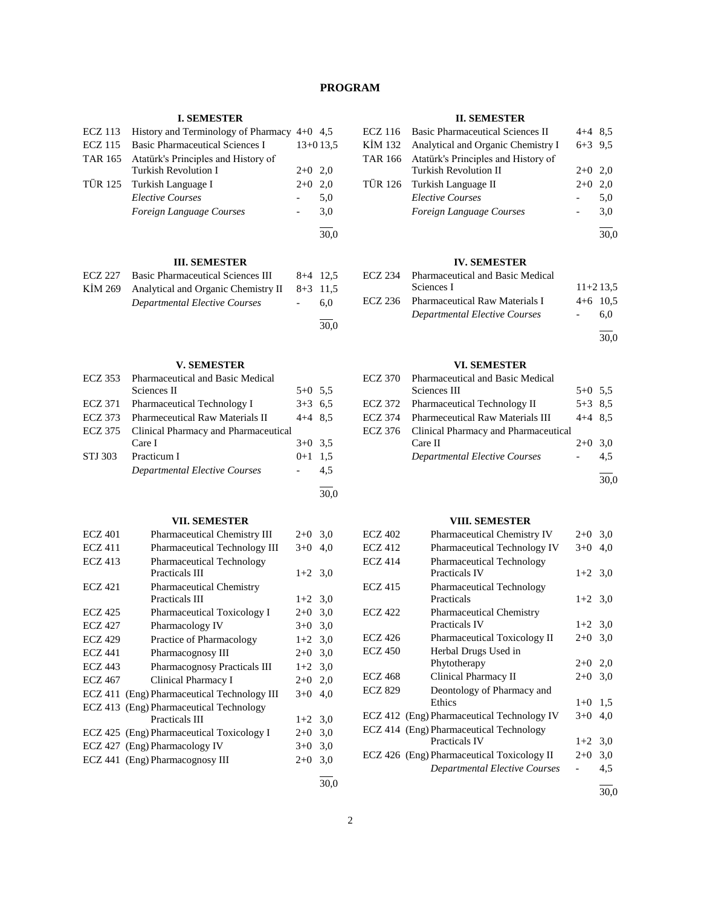# **PROGRAM**

30,0

30,0

## **I. SEMESTER**

| <b>ECZ</b> 113 | History and Terminology of Pharmacy $4+0$ 4,5               |       |            |
|----------------|-------------------------------------------------------------|-------|------------|
| ECZ 115        | <b>Basic Pharmaceutical Sciences I</b>                      |       | $13+013.5$ |
| TAR 165        | Atatürk's Principles and History of<br>Turkish Revolution I | $2+0$ | 2.0        |
|                | TÜR 125 Turkish Language I                                  | $2+0$ | 2,0        |
|                | <b>Elective Courses</b>                                     |       | 5,0        |
|                | Foreign Language Courses                                    |       | 3,0        |
|                |                                                             |       | 30,0       |
|                |                                                             |       |            |

# **III. SEMESTER**

| ECZ 227 Basic Pharmaceutical Sciences III              | $8+4$ 12.5 |
|--------------------------------------------------------|------------|
| KIM 269 Analytical and Organic Chemistry II $8+3$ 11,5 |            |
| Departmental Elective Courses                          | 6.0        |
|                                                        |            |

# **V. SEMESTER**

| <b>ECZ</b> 353 | <b>Pharmaceutical and Basic Medical</b> |           |     |
|----------------|-----------------------------------------|-----------|-----|
|                | Sciences II                             | $5+0$ 5.5 |     |
| <b>ECZ</b> 371 | <b>Pharmaceutical Technology I</b>      | $3+3$ 6.5 |     |
| <b>ECZ 373</b> | <b>Pharmeceutical Raw Materials II</b>  | $4+4$ 8.5 |     |
| ECZ 375        | Clinical Pharmacy and Pharmaceutical    |           |     |
|                | Care I                                  | $3+0$ 3.5 |     |
| STJ 303        | Practicum I                             | $0+1$ 1.5 |     |
|                | <b>Departmental Elective Courses</b>    |           | 4.5 |
|                |                                         |           |     |

## **VII. SEMESTER**

| <b>ECZ 401</b> | Pharmaceutical Chemistry III                | $2+0$     | 3,0 |
|----------------|---------------------------------------------|-----------|-----|
| <b>ECZ 411</b> | Pharmaceutical Technology III               | $3+0$     | 4,0 |
| <b>ECZ</b> 413 | <b>Pharmaceutical Technology</b>            |           |     |
|                | Practicals III                              | $1+2$ 3.0 |     |
| <b>ECZ 421</b> | <b>Pharmaceutical Chemistry</b>             |           |     |
|                | Practicals III                              | $1+2$ 3,0 |     |
| <b>ECZ 425</b> | Pharmaceutical Toxicology I                 | $2 + 0$   | 3,0 |
| <b>ECZ 427</b> | Pharmacology IV                             | $3+0$     | 3,0 |
| <b>ECZ 429</b> | Practice of Pharmacology                    | $1+2$ 3.0 |     |
| <b>ECZ 441</b> | Pharmacognosy III                           | $2+0$     | 3,0 |
| <b>ECZ 443</b> | <b>Pharmacognosy Practicals III</b>         | $1+2$ 3.0 |     |
| <b>ECZ 467</b> | Clinical Pharmacy I                         | $2+0$     | 2,0 |
|                | ECZ 411 (Eng) Pharmaceutical Technology III | $3+0$     | 4,0 |
|                | ECZ 413 (Eng) Pharmaceutical Technology     |           |     |
|                | Practicals III                              | $1+2$     | 3,0 |
|                | ECZ 425 (Eng) Pharmaceutical Toxicology I   | $2+0$     | 3,0 |
|                | ECZ 427 (Eng) Pharmacology IV               | $3+0$     | 3,0 |
|                | ECZ 441 (Eng) Pharmacognosy III             | $2+0$     | 3,0 |
|                |                                             |           |     |

## **II. SEMESTER**

| ECZ 116 Basic Pharmaceutical Sciences II    | $4+4$ 8.5 |     |
|---------------------------------------------|-----------|-----|
| KIM 132 Analytical and Organic Chemistry I  | $6+3$ 9.5 |     |
| TAR 166 Atatürk's Principles and History of |           |     |
| <b>Turkish Revolution II</b>                | $2+0$ 2,0 |     |
| TÜR 126 Turkish Language II                 | $2+0$ 2.0 |     |
| <b>Elective Courses</b>                     |           | 5,0 |
| Foreign Language Courses                    |           | 3.0 |
|                                             |           |     |

30,0

l

# **IV. SEMESTER**

| ECZ 234 | <b>Pharmaceutical and Basic Medical</b> |            |
|---------|-----------------------------------------|------------|
|         | Sciences I                              | $11+213.5$ |
|         | ECZ 236 Pharmaceutical Raw Materials I  | $4+6$ 10.5 |
|         | <b>Departmental Elective Courses</b>    | 6.0        |

 $\overline{a}$ 30,0

# **VI. SEMESTER**

| ECZ 370 Pharmaceutical and Basic Medical     |           |     |
|----------------------------------------------|-----------|-----|
| Sciences III                                 | $5+0$ 5.5 |     |
| ECZ 372 Pharmaceutical Technology II         | $5+3$ 8.5 |     |
| ECZ 374 Pharmeceutical Raw Materials III     | $4+4$ 8.5 |     |
| ECZ 376 Clinical Pharmacy and Pharmaceutical |           |     |
| Care II                                      | $2+0$ 3.0 |     |
| Departmental Elective Courses                |           | 4.5 |
|                                              |           |     |

30,0

# **VIII. SEMESTER**

| <b>ECZ 402</b> | <b>Pharmaceutical Chemistry IV</b>         | $2+0$     | 3,0 |
|----------------|--------------------------------------------|-----------|-----|
| <b>ECZ 412</b> | <b>Pharmaceutical Technology IV</b>        | $3+0$     | 4,0 |
| <b>ECZ 414</b> | <b>Pharmaceutical Technology</b>           |           |     |
|                | <b>Practicals IV</b>                       | $1+2$ 3,0 |     |
| <b>ECZ 415</b> | <b>Pharmaceutical Technology</b>           |           |     |
|                | Practicals                                 | $1+2$ 3,0 |     |
| <b>ECZ 422</b> | <b>Pharmaceutical Chemistry</b>            |           |     |
|                | <b>Practicals IV</b>                       | $1+2$ 3.0 |     |
| <b>ECZ 426</b> | <b>Pharmaceutical Toxicology II</b>        | $2+0$     | 3,0 |
| <b>ECZ 450</b> | Herbal Drugs Used in                       |           |     |
|                | Phytotherapy                               | $2+0$     | 2,0 |
| <b>ECZ 468</b> | Clinical Pharmacy II                       | $2+0$     | 3,0 |
| <b>ECZ 829</b> | Deontology of Pharmacy and                 |           |     |
|                | Ethics                                     | $1+0$     | 1,5 |
|                | ECZ 412 (Eng) Pharmaceutical Technology IV | $3+0$     | 4,0 |
|                | ECZ 414 (Eng) Pharmaceutical Technology    |           |     |
|                | <b>Practicals IV</b>                       | $1+2$     | 3,0 |
|                | ECZ 426 (Eng) Pharmaceutical Toxicology II | $2+0$     | 3,0 |
|                | <b>Departmental Elective Courses</b>       |           | 4,5 |
|                |                                            |           |     |

30,0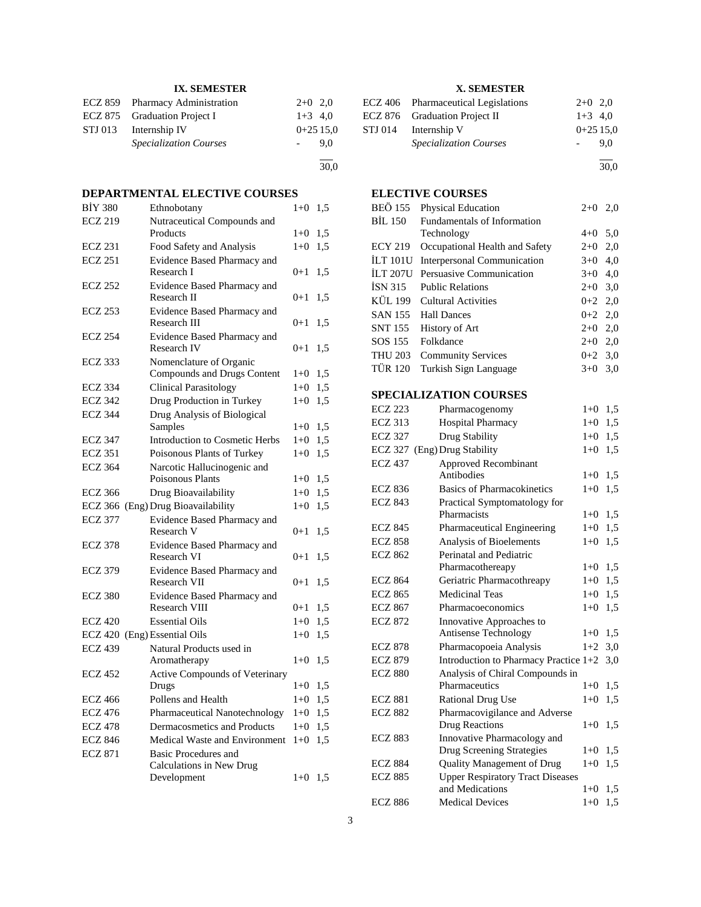| <b>IX. SEMESTER</b> |                                 |            |     |
|---------------------|---------------------------------|------------|-----|
|                     | ECZ 859 Pharmacy Administration | $2+0$ 2.0  |     |
|                     | ECZ 875 Graduation Project I    | $1+3$ 4,0  |     |
|                     | STJ 013 Internship IV           | $0+2515.0$ |     |
|                     | <b>Specialization Courses</b>   |            | 9.0 |
|                     |                                 |            |     |

# **DEPARTMENTAL ELECTIVE COURSES**

| <b>BİY 380</b> | Ethnobotany                                         | $1 + 0$  | 1,5 |
|----------------|-----------------------------------------------------|----------|-----|
| <b>ECZ 219</b> | Nutraceutical Compounds and                         |          |     |
|                | Products                                            | $1 + 0$  | 1,5 |
| <b>ECZ 231</b> | Food Safety and Analysis                            | $1 + 0$  | 1,5 |
| <b>ECZ 251</b> | Evidence Based Pharmacy and                         |          |     |
|                | Research I                                          | $0+1$    | 1,5 |
| <b>ECZ 252</b> | Evidence Based Pharmacy and                         |          |     |
|                | Research II                                         | $0 + 1$  | 1,5 |
| <b>ECZ 253</b> | Evidence Based Pharmacy and                         |          |     |
|                | Research III                                        | $_{0+1}$ | 1,5 |
| <b>ECZ 254</b> | Evidence Based Pharmacy and                         |          |     |
|                | Research IV                                         | $0 + 1$  | 1,5 |
| <b>ECZ 333</b> | Nomenclature of Organic                             |          |     |
|                | Compounds and Drugs Content                         | $1 + 0$  | 1,5 |
| <b>ECZ 334</b> | <b>Clinical Parasitology</b>                        | $1 + 0$  | 1,5 |
| <b>ECZ 342</b> | Drug Production in Turkey                           | $1 + 0$  | 1,5 |
| <b>ECZ 344</b> | Drug Analysis of Biological                         |          |     |
|                | Samples                                             | $1 + 0$  | 1,5 |
| <b>ECZ 347</b> | <b>Introduction to Cosmetic Herbs</b>               | $1 + 0$  | 1,5 |
| <b>ECZ 351</b> | Poisonous Plants of Turkey                          | $1 + 0$  | 1,5 |
| <b>ECZ 364</b> | Narcotic Hallucinogenic and                         |          |     |
|                | Poisonous Plants                                    | $1 + 0$  | 1,5 |
| <b>ECZ 366</b> | Drug Bioavailability                                | $1 + 0$  | 1,5 |
|                | ECZ 366 (Eng) Drug Bioavailability                  | $1 + 0$  | 1,5 |
| <b>ECZ 377</b> | Evidence Based Pharmacy and                         |          |     |
|                | Research V                                          | $0 + 1$  | 1,5 |
| <b>ECZ 378</b> | Evidence Based Pharmacy and                         |          |     |
|                | Research VI                                         | $0 + 1$  | 1,5 |
| <b>ECZ 379</b> | Evidence Based Pharmacy and                         |          |     |
|                | Research VII                                        | $0 + 1$  | 1,5 |
| <b>ECZ 380</b> | Evidence Based Pharmacy and<br><b>Research VIII</b> | $0+1$    | 1,5 |
| <b>ECZ 420</b> | <b>Essential Oils</b>                               | $1 + 0$  | 1,5 |
|                | ECZ 420 (Eng) Essential Oils                        |          | 1,5 |
| <b>ECZ 439</b> | Natural Products used in                            | $1 + 0$  |     |
|                | Aromatherapy                                        | $1 + 0$  | 1,5 |
| <b>ECZ 452</b> | <b>Active Compounds of Veterinary</b>               |          |     |
|                | Drugs                                               | $1 + 0$  | 1,5 |
| <b>ECZ 466</b> | Pollens and Health                                  | $1 + 0$  | 1,5 |
| <b>ECZ 476</b> | <b>Pharmaceutical Nanotechnology</b>                | $1 + 0$  | 1,5 |
| <b>ECZ 478</b> | Dermacosmetics and Products                         | $1+0$    | 1,5 |
| <b>ECZ 846</b> | Medical Waste and Environment                       | $1+0$    | 1,5 |
| <b>ECZ 871</b> | Basic Procedures and                                |          |     |
|                | Calculations in New Drug                            |          |     |
|                | Development                                         | $1 + 0$  | 1,5 |
|                |                                                     |          |     |

# **X. SEMESTER**

| ECZ 406 Pharmaceutical Legislations | $2+0$ 2.0  |     |
|-------------------------------------|------------|-----|
| ECZ 876 Graduation Project II       | $1+3$ 4.0  |     |
| STJ 014 Internship V                | $0+2515.0$ |     |
| <b>Specialization Courses</b>       |            | 9.0 |
|                                     |            |     |

30,0

# **ELECTIVE COURSES**

30,0

| <b>BEÖ 155</b>  | Physical Education                 | $2+0$     | 2,0 |
|-----------------|------------------------------------|-----------|-----|
| <b>BIL 150</b>  | <b>Fundamentals of Information</b> |           |     |
|                 | Technology                         | $4+0$ 5.0 |     |
| <b>ECY 219</b>  | Occupational Health and Safety     | $2+0$ 2,0 |     |
| <b>ILT 101U</b> | Interpersonal Communication        | $3+0$ 4,0 |     |
| <b>ILT 207U</b> | Persuasive Communication           | $3+0$ 4.0 |     |
| ISN 315         | <b>Public Relations</b>            | $2+0$ 3,0 |     |
| KÜL 199         | <b>Cultural Activities</b>         | $0+2$ 2,0 |     |
| SAN 155         | <b>Hall Dances</b>                 | $0+2$ 2,0 |     |
| SNT 155         | History of Art                     | $2+0$ 2,0 |     |
| SOS 155         | Folkdance                          | $2+0$ 2,0 |     |
| <b>THU 203</b>  | <b>Community Services</b>          | $0+2$ 3.0 |     |
| <b>TÜR 120</b>  | Turkish Sign Language              | $3+0$     | 3,0 |
|                 |                                    |           |     |

# **SPECIALIZATION COURSES**

| <b>ECZ 223</b> | Pharmacogenomy                          | $1+0$   | 1,5 |
|----------------|-----------------------------------------|---------|-----|
| <b>ECZ 313</b> | Hospital Pharmacy                       | $1+0$   | 1,5 |
| <b>ECZ 327</b> | Drug Stability                          | $1+0$   | 1.5 |
| <b>ECZ 327</b> | (Eng) Drug Stability                    | $1 + 0$ | 1.5 |
| <b>ECZ 437</b> | Approved Recombinant                    |         |     |
|                | Antibodies                              | $1 + 0$ | 1,5 |
| <b>ECZ 836</b> | <b>Basics of Pharmacokinetics</b>       | $1+0$   | 1.5 |
| <b>ECZ 843</b> | Practical Symptomatology for            |         |     |
|                | Pharmacists                             | $1+0$   | 1,5 |
| <b>ECZ 845</b> | Pharmaceutical Engineering              | $1+0$   | 1,5 |
| <b>ECZ 858</b> | Analysis of Bioelements                 | $1 + 0$ | 1,5 |
| <b>ECZ 862</b> | Perinatal and Pediatric                 |         |     |
|                | Pharmacothereapy                        | $1+0$   | 1,5 |
| <b>ECZ 864</b> | Geriatric Pharmacothreapy               | $1+0$   | 1,5 |
| <b>ECZ 865</b> | <b>Medicinal Teas</b>                   | $1+0$   | 1,5 |
| <b>ECZ 867</b> | Pharmacoeconomics                       | $1 + 0$ | 1,5 |
| <b>ECZ 872</b> | Innovative Approaches to                |         |     |
|                | Antisense Technology                    | $1+0$   | 1,5 |
| <b>ECZ 878</b> | Pharmacopoeia Analysis                  | $1+2$   | 3,0 |
| <b>ECZ 879</b> | Introduction to Pharmacy Practice 1+2   |         | 3,0 |
| <b>ECZ 880</b> | Analysis of Chiral Compounds in         |         |     |
|                | Pharmaceutics                           | $1+0$   | 1.5 |
| <b>ECZ 881</b> | <b>Rational Drug Use</b>                | $1+0$   | 1,5 |
| <b>ECZ 882</b> | Pharmacovigilance and Adverse           |         |     |
|                | <b>Drug Reactions</b>                   | $1+0$   | 1,5 |
| <b>ECZ 883</b> | Innovative Pharmacology and             |         |     |
|                | Drug Screening Strategies               | $1+0$   | 1.5 |
| <b>ECZ 884</b> | Quality Management of Drug              | $1 + 0$ | 1,5 |
| <b>ECZ 885</b> | <b>Upper Respiratory Tract Diseases</b> |         |     |
|                | and Medications                         | $1+0$   | 1,5 |
| <b>ECZ 886</b> | <b>Medical Devices</b>                  | $1 + 0$ | 1,5 |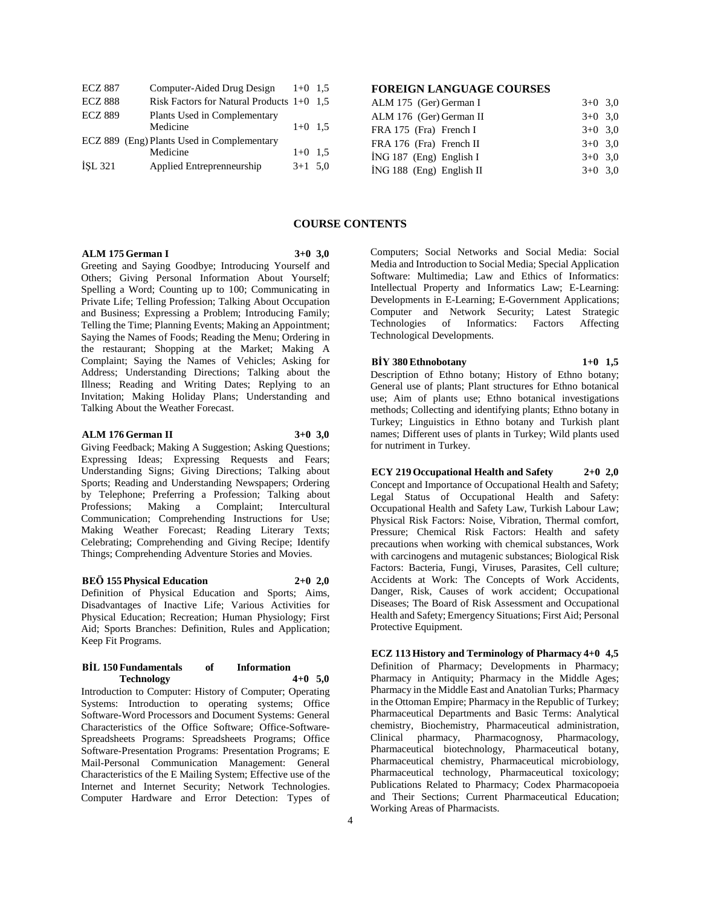| <b>ECZ 887</b> | Computer-Aided Drug Design                  | $1+0$ 1.5 |  |
|----------------|---------------------------------------------|-----------|--|
| <b>ECZ 888</b> | Risk Factors for Natural Products $1+0$ 1.5 |           |  |
| <b>ECZ 889</b> | Plants Used in Complementary                |           |  |
|                | Medicine                                    | $1+0$ 1.5 |  |
|                | ECZ 889 (Eng) Plants Used in Complementary  |           |  |
|                | Medicine                                    | $1+0$ 1.5 |  |
| <b>İSL 321</b> | Applied Entreprenneurship                   | $3+1$ 5.0 |  |

# **FOREIGN LANGUAGE COURSES**

| ALM 175 (Ger) German I     | $3+0$ 3.0 |  |
|----------------------------|-----------|--|
| ALM 176 (Ger) German II    | $3+0$ 3.0 |  |
| FRA 175 (Fra) French I     | $3+0$ 3.0 |  |
| FRA 176 (Fra) French II    | $3+0$ 3.0 |  |
| $ING 187$ (Eng) English I  | $3+0$ 3.0 |  |
| $ING 188$ (Eng) English II | $3+0$ 3.0 |  |
|                            |           |  |

## **COURSE CONTENTS**

#### **ALM 175 German I 3+0 3,0**

Greeting and Saying Goodbye; Introducing Yourself and Others; Giving Personal Information About Yourself; Spelling a Word; Counting up to 100; Communicating in Private Life; Telling Profession; Talking About Occupation and Business; Expressing a Problem; Introducing Family; Telling the Time; Planning Events; Making an Appointment; Saying the Names of Foods; Reading the Menu; Ordering in the restaurant; Shopping at the Market; Making A Complaint; Saying the Names of Vehicles; Asking for Address; Understanding Directions; Talking about the Illness; Reading and Writing Dates; Replying to an Invitation; Making Holiday Plans; Understanding and Talking About the Weather Forecast.

## **ALM 176 German II 3+0 3,0**

Giving Feedback; Making A Suggestion; Asking Questions; Expressing Ideas; Expressing Requests and Fears; Understanding Signs; Giving Directions; Talking about Sports; Reading and Understanding Newspapers; Ordering by Telephone; Preferring a Profession; Talking about Professions; Making a Complaint; Intercultural Communication; Comprehending Instructions for Use; Making Weather Forecast; Reading Literary Texts; Celebrating; Comprehending and Giving Recipe; Identify Things; Comprehending Adventure Stories and Movies.

#### **BEÖ 155 Physical Education 2+0 2,0**

Definition of Physical Education and Sports; Aims, Disadvantages of Inactive Life; Various Activities for Physical Education; Recreation; Human Physiology; First Aid; Sports Branches: Definition, Rules and Application; Keep Fit Programs.

#### **BİL 150 Fundamentals of Information Technology 4+0 5,0**

Introduction to Computer: History of Computer; Operating Systems: Introduction to operating systems; Office Software-Word Processors and Document Systems: General Characteristics of the Office Software; Office-Software-Spreadsheets Programs: Spreadsheets Programs; Office Software-Presentation Programs: Presentation Programs; E Mail-Personal Communication Management: General Characteristics of the E Mailing System; Effective use of the Internet and Internet Security; Network Technologies. Computer Hardware and Error Detection: Types of

Computers; Social Networks and Social Media: Social Media and Introduction to Social Media; Special Application Software: Multimedia; Law and Ethics of Informatics: Intellectual Property and Informatics Law; E-Learning: Developments in E-Learning; E-Government Applications; Computer and Network Security; Latest Strategic Technologies of Informatics: Factors Affecting Technological Developments.

# **BİY 380 Ethnobotany 1+0 1,5**

Description of Ethno botany; History of Ethno botany; General use of plants; Plant structures for Ethno botanical use; Aim of plants use; Ethno botanical investigations methods; Collecting and identifying plants; Ethno botany in Turkey; Linguistics in Ethno botany and Turkish plant names; Different uses of plants in Turkey; Wild plants used for nutriment in Turkey.

**ECY 219 Occupational Health and Safety 2+0 2,0** Concept and Importance of Occupational Health and Safety; Legal Status of Occupational Health and Safety: Occupational Health and Safety Law, Turkish Labour Law; Physical Risk Factors: Noise, Vibration, Thermal comfort, Pressure; Chemical Risk Factors: Health and safety precautions when working with chemical substances, Work with carcinogens and mutagenic substances; Biological Risk Factors: Bacteria, Fungi, Viruses, Parasites, Cell culture; Accidents at Work: The Concepts of Work Accidents, Danger, Risk, Causes of work accident; Occupational Diseases; The Board of Risk Assessment and Occupational Health and Safety; Emergency Situations; First Aid; Personal Protective Equipment.

**ECZ 113 History and Terminology of Pharmacy 4+0 4,5** Definition of Pharmacy; Developments in Pharmacy; Pharmacy in Antiquity; Pharmacy in the Middle Ages; Pharmacy in the Middle East and Anatolian Turks; Pharmacy in the Ottoman Empire; Pharmacy in the Republic of Turkey; Pharmaceutical Departments and Basic Terms: Analytical chemistry, Biochemistry, Pharmaceutical administration, Clinical pharmacy, Pharmacognosy, Pharmacology, Pharmaceutical biotechnology, Pharmaceutical botany, Pharmaceutical chemistry, Pharmaceutical microbiology, Pharmaceutical technology, Pharmaceutical toxicology; Publications Related to Pharmacy; Codex Pharmacopoeia and Their Sections; Current Pharmaceutical Education; Working Areas of Pharmacists.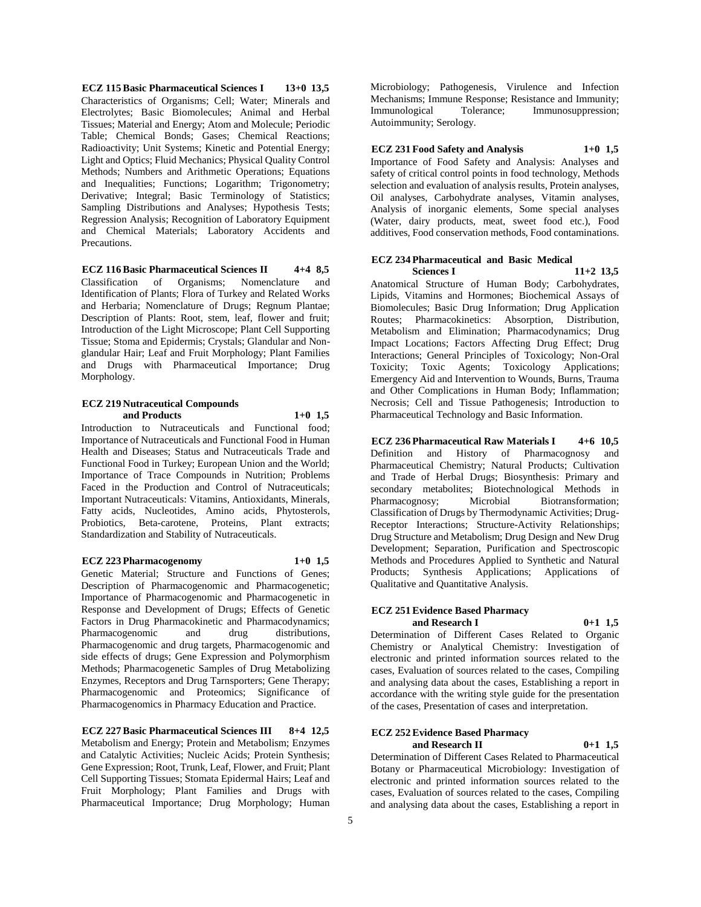**ECZ 115 Basic Pharmaceutical Sciences I 13+0 13,5** Characteristics of Organisms; Cell; Water; Minerals and Electrolytes; Basic Biomolecules; Animal and Herbal Tissues; Material and Energy; Atom and Molecule; Periodic Table; Chemical Bonds; Gases; Chemical Reactions; Radioactivity; Unit Systems; Kinetic and Potential Energy; Light and Optics; Fluid Mechanics; Physical Quality Control Methods; Numbers and Arithmetic Operations; Equations and Inequalities; Functions; Logarithm; Trigonometry; Derivative; Integral; Basic Terminology of Statistics; Sampling Distributions and Analyses; Hypothesis Tests; Regression Analysis; Recognition of Laboratory Equipment and Chemical Materials; Laboratory Accidents and Precautions.

**ECZ 116 Basic Pharmaceutical Sciences II 4+4 8,5** Classification of Organisms; Nomenclature and Identification of Plants; Flora of Turkey and Related Works and Herbaria; Nomenclature of Drugs; Regnum Plantae; Description of Plants: Root, stem, leaf, flower and fruit; Introduction of the Light Microscope; Plant Cell Supporting Tissue; Stoma and Epidermis; Crystals; Glandular and Nonglandular Hair; Leaf and Fruit Morphology; Plant Families and Drugs with Pharmaceutical Importance; Drug Morphology.

#### **ECZ 219 Nutraceutical Compounds and Products 1+0 1,5**

Introduction to Nutraceuticals and Functional food; Importance of Nutraceuticals and Functional Food in Human Health and Diseases; Status and Nutraceuticals Trade and Functional Food in Turkey; European Union and the World; Importance of Trace Compounds in Nutrition; Problems Faced in the Production and Control of Nutraceuticals; Important Nutraceuticals: Vitamins, Antioxidants, Minerals, Fatty acids, Nucleotides, Amino acids, Phytosterols, Probiotics, Beta-carotene, Proteins, Plant extracts; Standardization and Stability of Nutraceuticals.

#### **ECZ 223 Pharmacogenomy 1+0 1,5**

Genetic Material; Structure and Functions of Genes; Description of Pharmacogenomic and Pharmacogenetic; Importance of Pharmacogenomic and Pharmacogenetic in Response and Development of Drugs; Effects of Genetic Factors in Drug Pharmacokinetic and Pharmacodynamics;<br>
Pharmacogenomic and drug distributions, Pharmacogenomic and drug Pharmacogenomic and drug targets, Pharmacogenomic and side effects of drugs; Gene Expression and Polymorphism Methods; Pharmacogenetic Samples of Drug Metabolizing Enzymes, Receptors and Drug Tarnsporters; Gene Therapy; Pharmacogenomic and Proteomics; Significance of Pharmacogenomics in Pharmacy Education and Practice.

**ECZ 227 Basic Pharmaceutical Sciences III 8+4 12,5** Metabolism and Energy; Protein and Metabolism; Enzymes and Catalytic Activities; Nucleic Acids; Protein Synthesis; Gene Expression; Root, Trunk, Leaf, Flower, and Fruit; Plant Cell Supporting Tissues; Stomata Epidermal Hairs; Leaf and Fruit Morphology; Plant Families and Drugs with Pharmaceutical Importance; Drug Morphology; Human

Microbiology; Pathogenesis, Virulence and Infection Mechanisms; Immune Response; Resistance and Immunity;<br>Immunological Tolerance; Immunosuppression; Immunological Tolerance; Immunosuppression; Autoimmunity; Serology.

## **ECZ 231 Food Safety and Analysis 1+0 1,5**

Importance of Food Safety and Analysis: Analyses and safety of critical control points in food technology, Methods selection and evaluation of analysis results, Protein analyses, Oil analyses, Carbohydrate analyses, Vitamin analyses, Analysis of inorganic elements, Some special analyses (Water, dairy products, meat, sweet food etc.), Food additives, Food conservation methods, Food contaminations.

## **ECZ 234 Pharmaceutical and Basic Medical Sciences I 11+2 13,5**

Anatomical Structure of Human Body; Carbohydrates, Lipids, Vitamins and Hormones; Biochemical Assays of Biomolecules; Basic Drug Information; Drug Application Routes; Pharmacokinetics: Absorption, Distribution, Metabolism and Elimination; Pharmacodynamics; Drug Impact Locations; Factors Affecting Drug Effect; Drug Interactions; General Principles of Toxicology; Non-Oral Toxicity; Toxic Agents; Toxicology Applications; Emergency Aid and Intervention to Wounds, Burns, Trauma and Other Complications in Human Body; Inflammation; Necrosis; Cell and Tissue Pathogenesis; Introduction to Pharmaceutical Technology and Basic Information.

**ECZ 236 Pharmaceutical Raw Materials I 4+6 10,5** Definition and History of Pharmacognosy and Pharmaceutical Chemistry; Natural Products; Cultivation and Trade of Herbal Drugs; Biosynthesis: Primary and secondary metabolites; Biotechnological Methods in Pharmacognosy; Microbial Biotransformation; Classification of Drugs by Thermodynamic Activities; Drug-Receptor Interactions; Structure-Activity Relationships; Drug Structure and Metabolism; Drug Design and New Drug Development; Separation, Purification and Spectroscopic Methods and Procedures Applied to Synthetic and Natural Products; Synthesis Applications; Applications of Qualitative and Quantitative Analysis.

# **ECZ 251 Evidence Based Pharmacy**

**and Research I 0+1 1,5**

Determination of Different Cases Related to Organic Chemistry or Analytical Chemistry: Investigation of electronic and printed information sources related to the cases, Evaluation of sources related to the cases, Compiling and analysing data about the cases, Establishing a report in accordance with the writing style guide for the presentation of the cases, Presentation of cases and interpretation.

#### **ECZ 252 Evidence Based Pharmacy and Research II 0+1 1,5**

Determination of Different Cases Related to Pharmaceutical Botany or Pharmaceutical Microbiology: Investigation of electronic and printed information sources related to the cases, Evaluation of sources related to the cases, Compiling and analysing data about the cases, Establishing a report in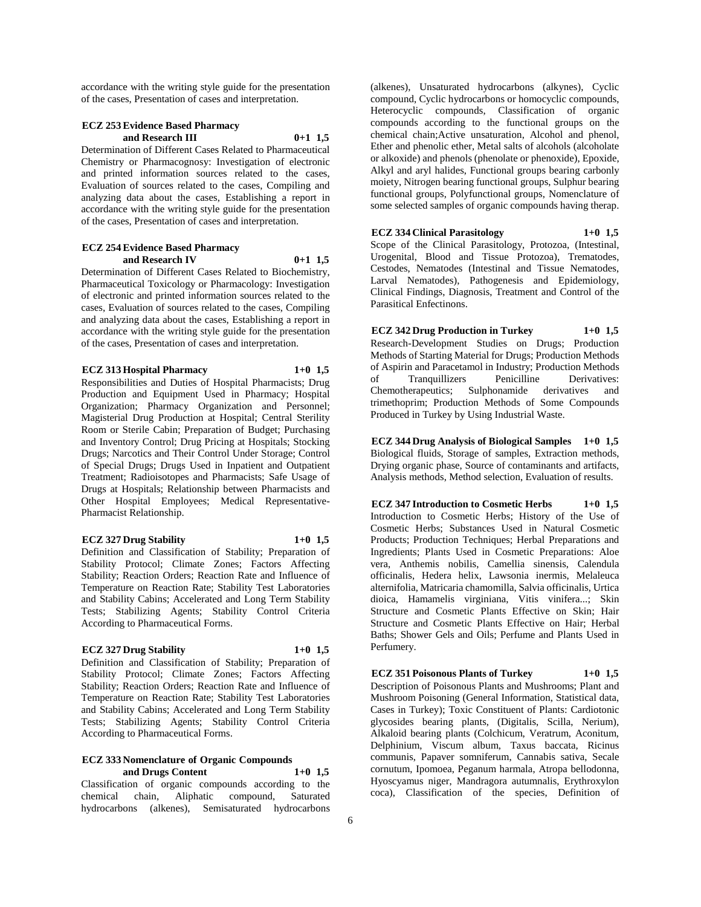accordance with the writing style guide for the presentation of the cases, Presentation of cases and interpretation.

## **ECZ 253 Evidence Based Pharmacy and Research III 0+1 1,5**

Determination of Different Cases Related to Pharmaceutical Chemistry or Pharmacognosy: Investigation of electronic and printed information sources related to the cases, Evaluation of sources related to the cases, Compiling and analyzing data about the cases, Establishing a report in accordance with the writing style guide for the presentation of the cases, Presentation of cases and interpretation.

#### **ECZ 254 Evidence Based Pharmacy and Research IV 0+1 1,5**

Determination of Different Cases Related to Biochemistry, Pharmaceutical Toxicology or Pharmacology: Investigation of electronic and printed information sources related to the cases, Evaluation of sources related to the cases, Compiling and analyzing data about the cases, Establishing a report in accordance with the writing style guide for the presentation of the cases, Presentation of cases and interpretation.

## **ECZ 313 Hospital Pharmacy 1+0 1,5**

Responsibilities and Duties of Hospital Pharmacists; Drug Production and Equipment Used in Pharmacy; Hospital Organization; Pharmacy Organization and Personnel; Magisterial Drug Production at Hospital; Central Sterility Room or Sterile Cabin; Preparation of Budget; Purchasing and Inventory Control; Drug Pricing at Hospitals; Stocking Drugs; Narcotics and Their Control Under Storage; Control of Special Drugs; Drugs Used in Inpatient and Outpatient Treatment; Radioisotopes and Pharmacists; Safe Usage of Drugs at Hospitals; Relationship between Pharmacists and Other Hospital Employees; Medical Representative-Pharmacist Relationship.

#### **ECZ 327 Drug Stability 1+0 1,5**

Definition and Classification of Stability; Preparation of Stability Protocol; Climate Zones; Factors Affecting Stability; Reaction Orders; Reaction Rate and Influence of Temperature on Reaction Rate; Stability Test Laboratories and Stability Cabins; Accelerated and Long Term Stability Tests; Stabilizing Agents; Stability Control Criteria According to Pharmaceutical Forms.

## **ECZ 327 Drug Stability 1+0 1,5**

Definition and Classification of Stability; Preparation of Stability Protocol; Climate Zones; Factors Affecting Stability; Reaction Orders; Reaction Rate and Influence of Temperature on Reaction Rate; Stability Test Laboratories and Stability Cabins; Accelerated and Long Term Stability Tests; Stabilizing Agents; Stability Control Criteria According to Pharmaceutical Forms.

# **ECZ 333 Nomenclature of Organic Compounds**

**and Drugs Content 1+0 1,5** Classification of organic compounds according to the chemical chain, Aliphatic compound, Saturated hydrocarbons (alkenes), Semisaturated hydrocarbons

(alkenes), Unsaturated hydrocarbons (alkynes), Cyclic compound, Cyclic hydrocarbons or homocyclic compounds, Heterocyclic compounds, Classification of organic compounds according to the functional groups on the chemical chain;Active unsaturation, Alcohol and phenol, Ether and phenolic ether, Metal salts of alcohols (alcoholate or alkoxide) and phenols (phenolate or phenoxide), Epoxide, Alkyl and aryl halides, Functional groups bearing carbonly moiety, Nitrogen bearing functional groups, Sulphur bearing functional groups, Polyfunctional groups, Nomenclature of some selected samples of organic compounds having therap.

## **ECZ 334 Clinical Parasitology 1+0 1,5**

Scope of the Clinical Parasitology, Protozoa, (Intestinal, Urogenital, Blood and Tissue Protozoa), Trematodes, Cestodes, Nematodes (Intestinal and Tissue Nematodes, Larval Nematodes), Pathogenesis and Epidemiology, Clinical Findings, Diagnosis, Treatment and Control of the Parasitical Enfectinons.

## **ECZ 342 Drug Production in Turkey 1+0 1,5** Research-Development Studies on Drugs; Production Methods of Starting Material for Drugs; Production Methods of Aspirin and Paracetamol in Industry; Production Methods of Tranquillizers Penicilline Derivatives:<br>Chemotherapeutics; Sulphonamide derivatives and Chemotherapeutics; Sulphonamide derivatives and trimethoprim; Production Methods of Some Compounds Produced in Turkey by Using Industrial Waste.

**ECZ 344 Drug Analysis of Biological Samples 1+0 1,5** Biological fluids, Storage of samples, Extraction methods, Drying organic phase, Source of contaminants and artifacts, Analysis methods, Method selection, Evaluation of results.

**ECZ 347 Introduction to Cosmetic Herbs 1+0 1,5** Introduction to Cosmetic Herbs; History of the Use of Cosmetic Herbs; Substances Used in Natural Cosmetic Products; Production Techniques; Herbal Preparations and Ingredients; Plants Used in Cosmetic Preparations: Aloe vera, Anthemis nobilis, Camellia sinensis, Calendula officinalis, Hedera helix, Lawsonia inermis, Melaleuca alternifolia, Matricaria chamomilla, Salvia officinalis, Urtica dioica, Hamamelis virginiana, Vitis vinifera...; Skin Structure and Cosmetic Plants Effective on Skin; Hair Structure and Cosmetic Plants Effective on Hair; Herbal Baths; Shower Gels and Oils; Perfume and Plants Used in Perfumery.

# **ECZ 351 Poisonous Plants of Turkey 1+0 1,5**

Description of Poisonous Plants and Mushrooms; Plant and Mushroom Poisoning (General Information, Statistical data, Cases in Turkey); Toxic Constituent of Plants: Cardiotonic glycosides bearing plants, (Digitalis, Scilla, Nerium), Alkaloid bearing plants (Colchicum, Veratrum, Aconitum, Delphinium, Viscum album, Taxus baccata, Ricinus communis, Papaver somniferum, Cannabis sativa, Secale cornutum, Ipomoea, Peganum harmala, Atropa bellodonna, Hyoscyamus niger, Mandragora autumnalis, Erythroxylon coca), Classification of the species, Definition of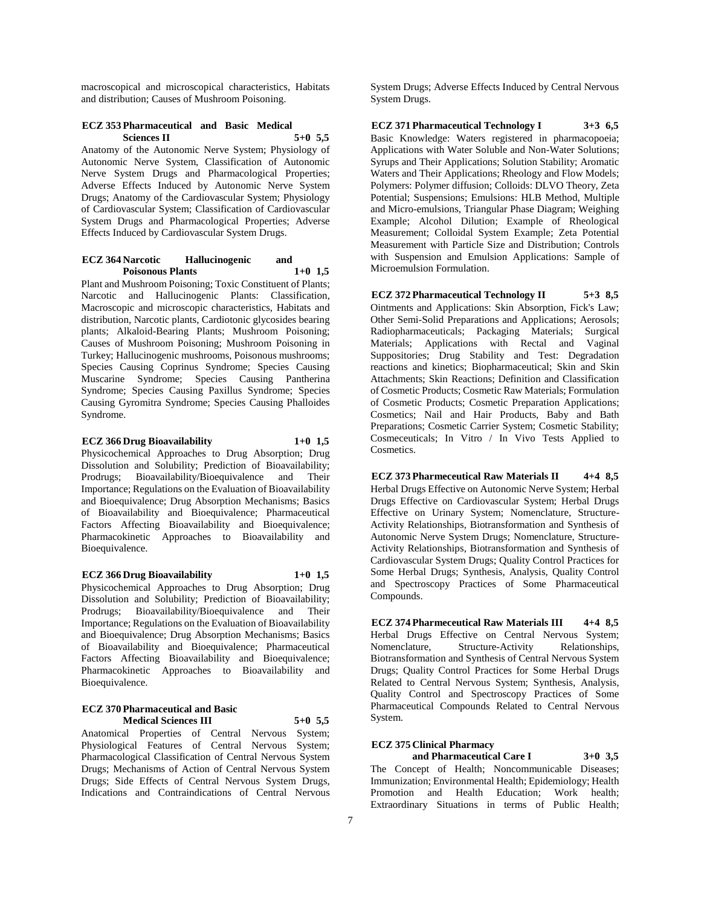macroscopical and microscopical characteristics, Habitats and distribution; Causes of Mushroom Poisoning.

## **ECZ 353 Pharmaceutical and Basic Medical Sciences II 5+0 5,5**

Anatomy of the Autonomic Nerve System; Physiology of Autonomic Nerve System, Classification of Autonomic Nerve System Drugs and Pharmacological Properties; Adverse Effects Induced by Autonomic Nerve System Drugs; Anatomy of the Cardiovascular System; Physiology of Cardiovascular System; Classification of Cardiovascular System Drugs and Pharmacological Properties; Adverse Effects Induced by Cardiovascular System Drugs.

### **ECZ 364 Narcotic Hallucinogenic and Poisonous Plants 1+0 1,5**

Plant and Mushroom Poisoning; Toxic Constituent of Plants; Narcotic and Hallucinogenic Plants: Classification, Macroscopic and microscopic characteristics, Habitats and distribution, Narcotic plants, Cardiotonic glycosides bearing plants; Alkaloid-Bearing Plants; Mushroom Poisoning; Causes of Mushroom Poisoning; Mushroom Poisoning in Turkey; Hallucinogenic mushrooms, Poisonous mushrooms; Species Causing Coprinus Syndrome; Species Causing Muscarine Syndrome; Species Causing Pantherina Syndrome; Species Causing Paxillus Syndrome; Species Causing Gyromitra Syndrome; Species Causing Phalloides Syndrome.

## **ECZ 366 Drug Bioavailability 1+0 1,5**

Physicochemical Approaches to Drug Absorption; Drug Dissolution and Solubility; Prediction of Bioavailability; Prodrugs; Bioavailability/Bioequivalence and Their Importance; Regulations on the Evaluation of Bioavailability and Bioequivalence; Drug Absorption Mechanisms; Basics of Bioavailability and Bioequivalence; Pharmaceutical Factors Affecting Bioavailability and Bioequivalence; Pharmacokinetic Approaches to Bioavailability and Bioequivalence.

### **ECZ 366 Drug Bioavailability 1+0 1,5**

Physicochemical Approaches to Drug Absorption; Drug Dissolution and Solubility; Prediction of Bioavailability; Prodrugs; Bioavailability/Bioequivalence and Their Importance; Regulations on the Evaluation of Bioavailability and Bioequivalence; Drug Absorption Mechanisms; Basics of Bioavailability and Bioequivalence; Pharmaceutical Factors Affecting Bioavailability and Bioequivalence; Pharmacokinetic Approaches to Bioavailability and Bioequivalence.

#### **ECZ 370 Pharmaceutical and Basic Medical Sciences III 5+0 5,5**

Anatomical Properties of Central Nervous System; Physiological Features of Central Nervous System; Pharmacological Classification of Central Nervous System Drugs; Mechanisms of Action of Central Nervous System Drugs; Side Effects of Central Nervous System Drugs, Indications and Contraindications of Central Nervous

System Drugs; Adverse Effects Induced by Central Nervous System Drugs.

**ECZ 371 Pharmaceutical Technology I 3+3 6,5** Basic Knowledge: Waters registered in pharmacopoeia; Applications with Water Soluble and Non-Water Solutions; Syrups and Their Applications; Solution Stability; Aromatic Waters and Their Applications; Rheology and Flow Models; Polymers: Polymer diffusion; Colloids: DLVO Theory, Zeta Potential; Suspensions; Emulsions: HLB Method, Multiple and Micro-emulsions, Triangular Phase Diagram; Weighing Example; Alcohol Dilution; Example of Rheological Measurement; Colloidal System Example; Zeta Potential Measurement with Particle Size and Distribution; Controls with Suspension and Emulsion Applications: Sample of Microemulsion Formulation.

**ECZ 372 Pharmaceutical Technology II 5+3 8,5** Ointments and Applications: Skin Absorption, Fick's Law; Other Semi-Solid Preparations and Applications; Aerosols; Radiopharmaceuticals; Packaging Materials; Surgical Materials; Applications with Rectal and Vaginal Suppositories; Drug Stability and Test: Degradation reactions and kinetics; Biopharmaceutical; Skin and Skin Attachments; Skin Reactions; Definition and Classification of Cosmetic Products; Cosmetic Raw Materials; Formulation of Cosmetic Products; Cosmetic Preparation Applications; Cosmetics; Nail and Hair Products, Baby and Bath Preparations; Cosmetic Carrier System; Cosmetic Stability; Cosmeceuticals; In Vitro / In Vivo Tests Applied to Cosmetics.

**ECZ 373 Pharmeceutical Raw Materials II 4+4 8,5** Herbal Drugs Effective on Autonomic Nerve System; Herbal Drugs Effective on Cardiovascular System; Herbal Drugs Effective on Urinary System; Nomenclature, Structure-Activity Relationships, Biotransformation and Synthesis of Autonomic Nerve System Drugs; Nomenclature, Structure-Activity Relationships, Biotransformation and Synthesis of Cardiovascular System Drugs; Quality Control Practices for Some Herbal Drugs; Synthesis, Analysis, Quality Control and Spectroscopy Practices of Some Pharmaceutical Compounds.

**ECZ 374 Pharmeceutical Raw Materials III 4+4 8,5** Herbal Drugs Effective on Central Nervous System; Nomenclature, Structure-Activity Relationships, Biotransformation and Synthesis of Central Nervous System Drugs; Quality Control Practices for Some Herbal Drugs Related to Central Nervous System; Synthesis, Analysis, Quality Control and Spectroscopy Practices of Some Pharmaceutical Compounds Related to Central Nervous System.

## **ECZ 375 Clinical Pharmacy**

**and Pharmaceutical Care I 3+0 3,5** The Concept of Health; Noncommunicable Diseases: Immunization; Environmental Health; Epidemiology; Health Promotion and Health Education; Work health; Extraordinary Situations in terms of Public Health;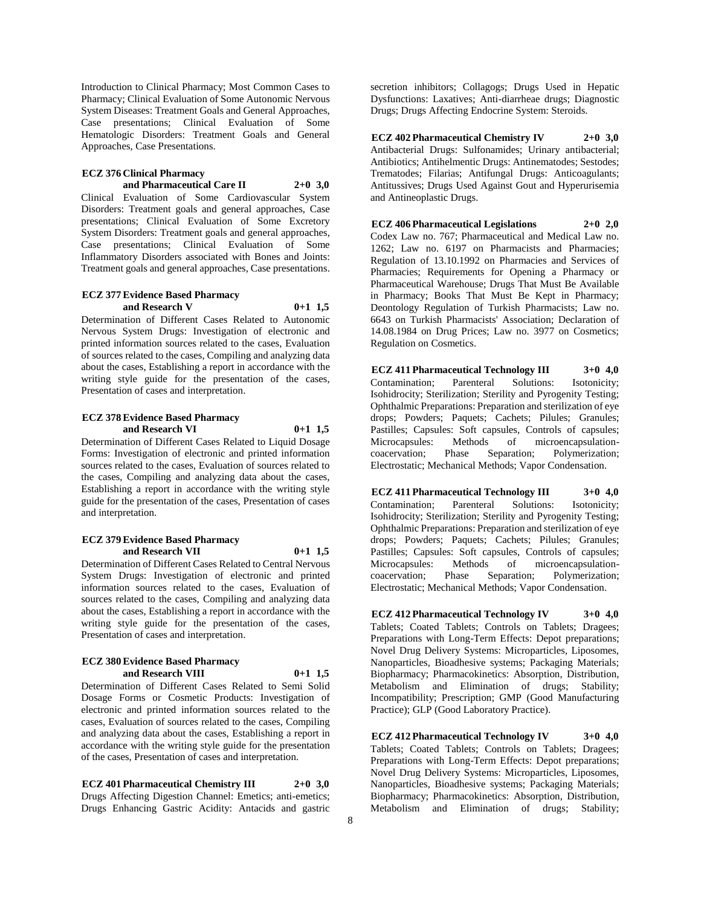Introduction to Clinical Pharmacy; Most Common Cases to Pharmacy; Clinical Evaluation of Some Autonomic Nervous System Diseases: Treatment Goals and General Approaches, Case presentations; Clinical Evaluation of Some Hematologic Disorders: Treatment Goals and General Approaches, Case Presentations.

#### **ECZ 376 Clinical Pharmacy and Pharmaceutical Care II 2+0 3,0**

Clinical Evaluation of Some Cardiovascular System Disorders: Treatment goals and general approaches, Case presentations; Clinical Evaluation of Some Excretory System Disorders: Treatment goals and general approaches, Case presentations; Clinical Evaluation of Some Inflammatory Disorders associated with Bones and Joints: Treatment goals and general approaches, Case presentations.

#### **ECZ 377 Evidence Based Pharmacy and Research V 0+1 1,5**

Determination of Different Cases Related to Autonomic Nervous System Drugs: Investigation of electronic and printed information sources related to the cases, Evaluation of sources related to the cases, Compiling and analyzing data about the cases, Establishing a report in accordance with the writing style guide for the presentation of the cases, Presentation of cases and interpretation.

## **ECZ 378 Evidence Based Pharmacy and Research VI 0+1 1,5**

Determination of Different Cases Related to Liquid Dosage Forms: Investigation of electronic and printed information sources related to the cases, Evaluation of sources related to the cases, Compiling and analyzing data about the cases, Establishing a report in accordance with the writing style guide for the presentation of the cases, Presentation of cases and interpretation.

## **ECZ 379 Evidence Based Pharmacy and Research VII 0+1 1,5**

Determination of Different Cases Related to Central Nervous System Drugs: Investigation of electronic and printed information sources related to the cases, Evaluation of sources related to the cases, Compiling and analyzing data about the cases, Establishing a report in accordance with the writing style guide for the presentation of the cases, Presentation of cases and interpretation.

#### **ECZ 380 Evidence Based Pharmacy and Research VIII 0+1 1,5**

Determination of Different Cases Related to Semi Solid Dosage Forms or Cosmetic Products: Investigation of electronic and printed information sources related to the cases, Evaluation of sources related to the cases, Compiling and analyzing data about the cases, Establishing a report in accordance with the writing style guide for the presentation of the cases, Presentation of cases and interpretation.

**ECZ 401 Pharmaceutical Chemistry III 2+0 3,0** Drugs Affecting Digestion Channel: Emetics; anti-emetics; Drugs Enhancing Gastric Acidity: Antacids and gastric

secretion inhibitors; Collagogs; Drugs Used in Hepatic Dysfunctions: Laxatives; Anti-diarrheae drugs; Diagnostic Drugs; Drugs Affecting Endocrine System: Steroids.

**ECZ 402 Pharmaceutical Chemistry IV 2+0 3,0** Antibacterial Drugs: Sulfonamides; Urinary antibacterial; Antibiotics; Antihelmentic Drugs: Antinematodes; Sestodes; Trematodes; Filarias; Antifungal Drugs: Anticoagulants; Antitussives; Drugs Used Against Gout and Hyperurisemia and Antineoplastic Drugs.

**ECZ 406 Pharmaceutical Legislations 2+0 2,0** Codex Law no. 767; Pharmaceutical and Medical Law no. 1262; Law no. 6197 on Pharmacists and Pharmacies; Regulation of 13.10.1992 on Pharmacies and Services of Pharmacies; Requirements for Opening a Pharmacy or Pharmaceutical Warehouse; Drugs That Must Be Available in Pharmacy; Books That Must Be Kept in Pharmacy; Deontology Regulation of Turkish Pharmacists; Law no. 6643 on Turkish Pharmacists' Association; Declaration of 14.08.1984 on Drug Prices; Law no. 3977 on Cosmetics; Regulation on Cosmetics.

**ECZ 411 Pharmaceutical Technology III 3+0 4,0** Contamination; Parenteral Solutions: Isotonicity; Isohidrocity; Sterilization; Sterility and Pyrogenity Testing; Ophthalmic Preparations: Preparation and sterilization of eye drops; Powders; Paquets; Cachets; Pilules; Granules; Pastilles; Capsules: Soft capsules, Controls of capsules; Microcapsules: Methods of microencapsulationcoacervation; Phase Separation; Polymerization; Electrostatic; Mechanical Methods; Vapor Condensation.

**ECZ 411 Pharmaceutical Technology III 3+0 4,0** Contamination; Parenteral Solutions: Isotonicity; Isohidrocity; Sterilization; Sterility and Pyrogenity Testing; Ophthalmic Preparations: Preparation and sterilization of eye drops; Powders; Paquets; Cachets; Pilules; Granules; Pastilles; Capsules: Soft capsules, Controls of capsules; Microcapsules: Methods of microencapsulationcoacervation; Phase Separation; Polymerization; Electrostatic; Mechanical Methods; Vapor Condensation.

**ECZ 412 Pharmaceutical Technology IV 3+0 4,0** Tablets; Coated Tablets; Controls on Tablets; Dragees; Preparations with Long-Term Effects: Depot preparations; Novel Drug Delivery Systems: Microparticles, Liposomes, Nanoparticles, Bioadhesive systems; Packaging Materials; Biopharmacy; Pharmacokinetics: Absorption, Distribution, Metabolism and Elimination of drugs; Stability; Incompatibility; Prescription; GMP (Good Manufacturing Practice); GLP (Good Laboratory Practice).

**ECZ 412 Pharmaceutical Technology IV 3+0 4,0** Tablets; Coated Tablets; Controls on Tablets; Dragees; Preparations with Long-Term Effects: Depot preparations; Novel Drug Delivery Systems: Microparticles, Liposomes, Nanoparticles, Bioadhesive systems; Packaging Materials; Biopharmacy; Pharmacokinetics: Absorption, Distribution, Metabolism and Elimination of drugs; Stability;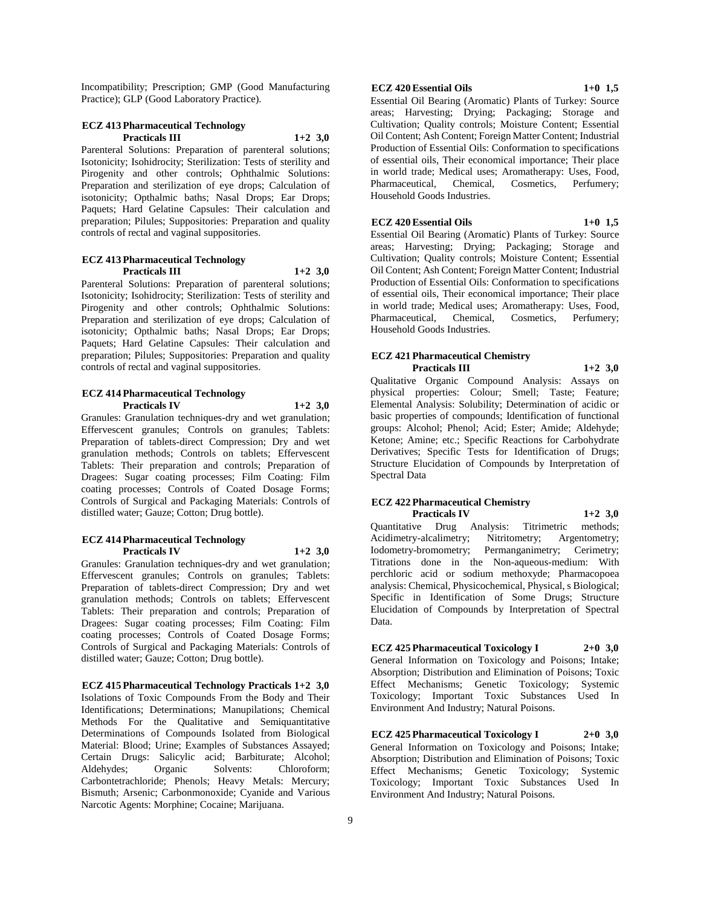Incompatibility; Prescription; GMP (Good Manufacturing Practice); GLP (Good Laboratory Practice).

## **ECZ 413 Pharmaceutical Technology Practicals III 1+2 3,0**

Parenteral Solutions: Preparation of parenteral solutions; Isotonicity; Isohidrocity; Sterilization: Tests of sterility and Pirogenity and other controls; Ophthalmic Solutions: Preparation and sterilization of eye drops; Calculation of isotonicity; Opthalmic baths; Nasal Drops; Ear Drops; Paquets; Hard Gelatine Capsules: Their calculation and preparation; Pilules; Suppositories: Preparation and quality controls of rectal and vaginal suppositories.

## **ECZ 413 Pharmaceutical Technology Practicals III 1+2 3,0**

Parenteral Solutions: Preparation of parenteral solutions; Isotonicity; Isohidrocity; Sterilization: Tests of sterility and Pirogenity and other controls; Ophthalmic Solutions: Preparation and sterilization of eye drops; Calculation of isotonicity; Opthalmic baths; Nasal Drops; Ear Drops; Paquets; Hard Gelatine Capsules: Their calculation and preparation; Pilules; Suppositories: Preparation and quality controls of rectal and vaginal suppositories.

#### **ECZ 414 Pharmaceutical Technology Practicals IV 1+2 3,0**

Granules: Granulation techniques-dry and wet granulation; Effervescent granules; Controls on granules; Tablets: Preparation of tablets-direct Compression; Dry and wet granulation methods; Controls on tablets; Effervescent Tablets: Their preparation and controls; Preparation of Dragees: Sugar coating processes; Film Coating: Film coating processes; Controls of Coated Dosage Forms; Controls of Surgical and Packaging Materials: Controls of distilled water; Gauze; Cotton; Drug bottle).

## **ECZ 414 Pharmaceutical Technology Practicals IV 1+2 3,0**

Granules: Granulation techniques-dry and wet granulation; Effervescent granules; Controls on granules; Tablets: Preparation of tablets-direct Compression; Dry and wet granulation methods; Controls on tablets; Effervescent Tablets: Their preparation and controls; Preparation of Dragees: Sugar coating processes; Film Coating: Film coating processes; Controls of Coated Dosage Forms; Controls of Surgical and Packaging Materials: Controls of distilled water; Gauze; Cotton; Drug bottle).

**ECZ 415 Pharmaceutical Technology Practicals 1+2 3,0** Isolations of Toxic Compounds From the Body and Their Identifications; Determinations; Manupilations; Chemical Methods For the Qualitative and Semiquantitative Determinations of Compounds Isolated from Biological Material: Blood; Urine; Examples of Substances Assayed; Certain Drugs: Salicylic acid; Barbiturate; Alcohol; Aldehydes; Organic Solvents: Chloroform; Carbontetrachloride; Phenols; Heavy Metals: Mercury; Bismuth; Arsenic; Carbonmonoxide; Cyanide and Various Narcotic Agents: Morphine; Cocaine; Marijuana.

## **ECZ 420 Essential Oils 1+0 1,5**

Essential Oil Bearing (Aromatic) Plants of Turkey: Source areas; Harvesting; Drying; Packaging; Storage and Cultivation; Quality controls; Moisture Content; Essential Oil Content; Ash Content; Foreign Matter Content; Industrial Production of Essential Oils: Conformation to specifications of essential oils, Their economical importance; Their place in world trade; Medical uses; Aromatherapy: Uses, Food, Pharmaceutical, Chemical, Cosmetics, Perfumery; Household Goods Industries.

## **ECZ 420 Essential Oils 1+0 1,5**

Essential Oil Bearing (Aromatic) Plants of Turkey: Source areas; Harvesting; Drying; Packaging; Storage and Cultivation; Quality controls; Moisture Content; Essential Oil Content; Ash Content; Foreign Matter Content; Industrial Production of Essential Oils: Conformation to specifications of essential oils, Their economical importance; Their place in world trade; Medical uses; Aromatherapy: Uses, Food, Pharmaceutical, Chemical, Cosmetics, Perfumery; Household Goods Industries.

#### **ECZ 421 Pharmaceutical Chemistry Practicals III 1+2 3,0**

Qualitative Organic Compound Analysis: Assays on physical properties: Colour; Smell; Taste; Feature; Elemental Analysis: Solubility; Determination of acidic or basic properties of compounds; Identification of functional groups: Alcohol; Phenol; Acid; Ester; Amide; Aldehyde; Ketone; Amine; etc.; Specific Reactions for Carbohydrate Derivatives; Specific Tests for Identification of Drugs; Structure Elucidation of Compounds by Interpretation of Spectral Data

#### **ECZ 422 Pharmaceutical Chemistry Practicals IV 1+2 3,0**

Quantitative Drug Analysis: Titrimetric methods; Acidimetry-alcalimetry; Nitritometry; Argentometry; Iodometry-bromometry; Permanganimetry; Cerimetry; Titrations done in the Non-aqueous-medium: With perchloric acid or sodium methoxyde; Pharmacopoea analysis: Chemical, Physicochemical, Physical, s Biological; Specific in Identification of Some Drugs; Structure Elucidation of Compounds by Interpretation of Spectral Data.

**ECZ 425 Pharmaceutical Toxicology I 2+0 3,0** General Information on Toxicology and Poisons; Intake; Absorption; Distribution and Elimination of Poisons; Toxic Effect Mechanisms; Genetic Toxicology; Systemic Toxicology; Important Toxic Substances Used In Environment And Industry; Natural Poisons.

**ECZ 425 Pharmaceutical Toxicology I 2+0 3,0** General Information on Toxicology and Poisons; Intake; Absorption; Distribution and Elimination of Poisons; Toxic Effect Mechanisms; Genetic Toxicology; Systemic Toxicology; Important Toxic Substances Used In Environment And Industry; Natural Poisons.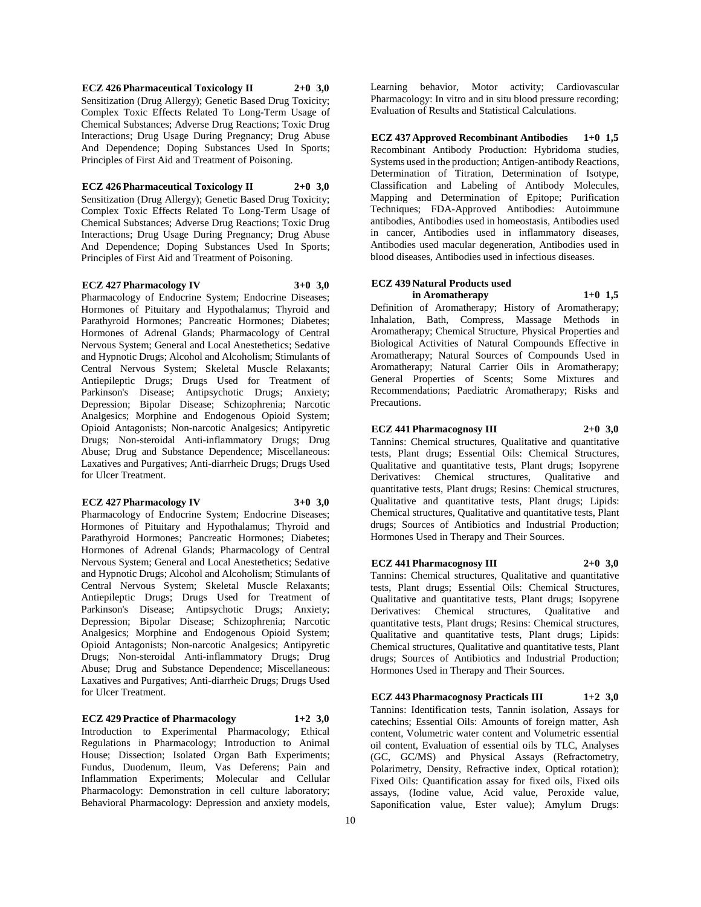**ECZ 426 Pharmaceutical Toxicology II 2+0 3,0** Sensitization (Drug Allergy); Genetic Based Drug Toxicity; Complex Toxic Effects Related To Long-Term Usage of Chemical Substances; Adverse Drug Reactions; Toxic Drug Interactions; Drug Usage During Pregnancy; Drug Abuse And Dependence; Doping Substances Used In Sports; Principles of First Aid and Treatment of Poisoning.

#### **ECZ 426 Pharmaceutical Toxicology II 2+0 3,0**

Sensitization (Drug Allergy); Genetic Based Drug Toxicity; Complex Toxic Effects Related To Long-Term Usage of Chemical Substances; Adverse Drug Reactions; Toxic Drug Interactions; Drug Usage During Pregnancy; Drug Abuse And Dependence; Doping Substances Used In Sports; Principles of First Aid and Treatment of Poisoning.

## **ECZ 427 Pharmacology IV 3+0 3,0**

Pharmacology of Endocrine System; Endocrine Diseases; Hormones of Pituitary and Hypothalamus; Thyroid and Parathyroid Hormones; Pancreatic Hormones; Diabetes; Hormones of Adrenal Glands; Pharmacology of Central Nervous System; General and Local Anestethetics; Sedative and Hypnotic Drugs; Alcohol and Alcoholism; Stimulants of Central Nervous System; Skeletal Muscle Relaxants; Antiepileptic Drugs; Drugs Used for Treatment of Parkinson's Disease; Antipsychotic Drugs; Anxiety; Depression; Bipolar Disease; Schizophrenia; Narcotic Analgesics; Morphine and Endogenous Opioid System; Opioid Antagonists; Non-narcotic Analgesics; Antipyretic Drugs; Non-steroidal Anti-inflammatory Drugs; Drug Abuse; Drug and Substance Dependence; Miscellaneous: Laxatives and Purgatives; Anti-diarrheic Drugs; Drugs Used for Ulcer Treatment.

#### **ECZ 427 Pharmacology IV 3+0 3,0**

Pharmacology of Endocrine System; Endocrine Diseases; Hormones of Pituitary and Hypothalamus; Thyroid and Parathyroid Hormones; Pancreatic Hormones; Diabetes; Hormones of Adrenal Glands; Pharmacology of Central Nervous System; General and Local Anestethetics; Sedative and Hypnotic Drugs; Alcohol and Alcoholism; Stimulants of Central Nervous System; Skeletal Muscle Relaxants; Antiepileptic Drugs; Drugs Used for Treatment of Parkinson's Disease; Antipsychotic Drugs; Anxiety; Depression; Bipolar Disease; Schizophrenia; Narcotic Analgesics; Morphine and Endogenous Opioid System; Opioid Antagonists; Non-narcotic Analgesics; Antipyretic Drugs; Non-steroidal Anti-inflammatory Drugs; Drug Abuse; Drug and Substance Dependence; Miscellaneous: Laxatives and Purgatives; Anti-diarrheic Drugs; Drugs Used for Ulcer Treatment.

**ECZ 429 Practice of Pharmacology 1+2 3,0**

Introduction to Experimental Pharmacology; Ethical Regulations in Pharmacology; Introduction to Animal House; Dissection; Isolated Organ Bath Experiments; Fundus, Duodenum, Ileum, Vas Deferens; Pain and Inflammation Experiments; Molecular and Cellular Pharmacology: Demonstration in cell culture laboratory; Behavioral Pharmacology: Depression and anxiety models,

Learning behavior, Motor activity; Cardiovascular Pharmacology: In vitro and in situ blood pressure recording; Evaluation of Results and Statistical Calculations.

**ECZ 437 Approved Recombinant Antibodies 1+0 1,5** Recombinant Antibody Production: Hybridoma studies, Systems used in the production; Antigen-antibody Reactions, Determination of Titration, Determination of Isotype, Classification and Labeling of Antibody Molecules, Mapping and Determination of Epitope; Purification Techniques; FDA-Approved Antibodies: Autoimmune antibodies, Antibodies used in homeostasis, Antibodies used in cancer, Antibodies used in inflammatory diseases, Antibodies used macular degeneration, Antibodies used in blood diseases, Antibodies used in infectious diseases.

#### **ECZ 439 Natural Products used in Aromatherapy 1+0 1,5**

Definition of Aromatherapy; History of Aromatherapy; Inhalation, Bath, Compress, Massage Methods in Aromatherapy; Chemical Structure, Physical Properties and Biological Activities of Natural Compounds Effective in Aromatherapy; Natural Sources of Compounds Used in Aromatherapy; Natural Carrier Oils in Aromatherapy; General Properties of Scents; Some Mixtures and Recommendations; Paediatric Aromatherapy; Risks and Precautions.

**ECZ 441 Pharmacognosy III 2+0 3,0**

Tannins: Chemical structures, Qualitative and quantitative tests, Plant drugs; Essential Oils: Chemical Structures, Qualitative and quantitative tests, Plant drugs; Isopyrene Derivatives: Chemical structures, Qualitative and quantitative tests, Plant drugs; Resins: Chemical structures, Qualitative and quantitative tests, Plant drugs; Lipids: Chemical structures, Qualitative and quantitative tests, Plant drugs; Sources of Antibiotics and Industrial Production; Hormones Used in Therapy and Their Sources.

**ECZ 441 Pharmacognosy III 2+0 3,0**

Tannins: Chemical structures, Qualitative and quantitative tests, Plant drugs; Essential Oils: Chemical Structures, Qualitative and quantitative tests, Plant drugs; Isopyrene Derivatives: Chemical structures, Qualitative and quantitative tests, Plant drugs; Resins: Chemical structures, Qualitative and quantitative tests, Plant drugs; Lipids: Chemical structures, Qualitative and quantitative tests, Plant drugs; Sources of Antibiotics and Industrial Production; Hormones Used in Therapy and Their Sources.

**ECZ 443 Pharmacognosy Practicals III 1+2 3,0** Tannins: Identification tests, Tannin isolation, Assays for catechins; Essential Oils: Amounts of foreign matter, Ash content, Volumetric water content and Volumetric essential oil content, Evaluation of essential oils by TLC, Analyses (GC, GC/MS) and Physical Assays (Refractometry, Polarimetry, Density, Refractive index, Optical rotation); Fixed Oils: Quantification assay for fixed oils, Fixed oils assays, (Iodine value, Acid value, Peroxide value, Saponification value, Ester value); Amylum Drugs: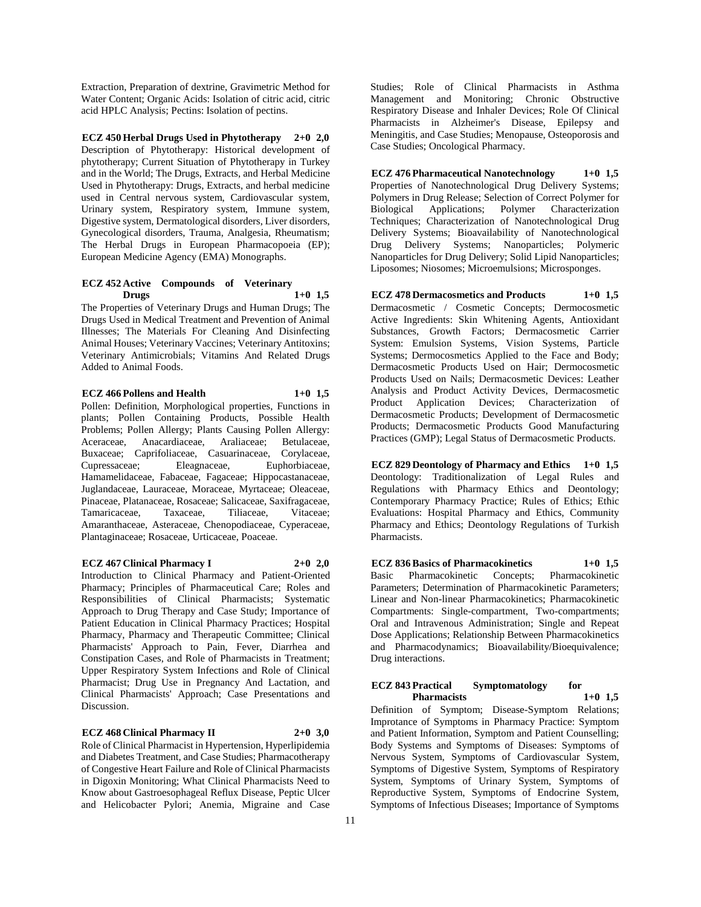Extraction, Preparation of dextrine, Gravimetric Method for Water Content; Organic Acids: Isolation of citric acid, citric acid HPLC Analysis; Pectins: Isolation of pectins.

**ECZ 450 Herbal Drugs Used in Phytotherapy 2+0 2,0** Description of Phytotherapy: Historical development of phytotherapy; Current Situation of Phytotherapy in Turkey and in the World; The Drugs, Extracts, and Herbal Medicine Used in Phytotherapy: Drugs, Extracts, and herbal medicine used in Central nervous system, Cardiovascular system, Urinary system, Respiratory system, Immune system, Digestive system, Dermatological disorders, Liver disorders, Gynecological disorders, Trauma, Analgesia, Rheumatism; The Herbal Drugs in European Pharmacopoeia (EP); European Medicine Agency (EMA) Monographs.

## **ECZ 452 Active Compounds of Veterinary Drugs 1+0 1,5**

The Properties of Veterinary Drugs and Human Drugs; The Drugs Used in Medical Treatment and Prevention of Animal Illnesses; The Materials For Cleaning And Disinfecting Animal Houses; Veterinary Vaccines; Veterinary Antitoxins; Veterinary Antimicrobials; Vitamins And Related Drugs Added to Animal Foods.

## **ECZ 466 Pollens and Health 1+0 1,5**

Pollen: Definition, Morphological properties, Functions in plants; Pollen Containing Products, Possible Health Problems; Pollen Allergy; Plants Causing Pollen Allergy: Aceraceae, Anacardiaceae, Araliaceae; Betulaceae, Buxaceae; Caprifoliaceae, Casuarinaceae, Corylaceae, Cupressaceae; Eleagnaceae, Euphorbiaceae, Hamamelidaceae, Fabaceae, Fagaceae; Hippocastanaceae, Juglandaceae, Lauraceae, Moraceae, Myrtaceae; Oleaceae, Pinaceae, Platanaceae, Rosaceae; Salicaceae, Saxifragaceae, Tamaricaceae, Taxaceae, Tiliaceae, Vitaceae; Amaranthaceae, Asteraceae, Chenopodiaceae, Cyperaceae, Plantaginaceae; Rosaceae, Urticaceae, Poaceae.

**ECZ 467 Clinical Pharmacy I 2+0 2,0** Introduction to Clinical Pharmacy and Patient-Oriented

Pharmacy; Principles of Pharmaceutical Care; Roles and Responsibilities of Clinical Pharmacists; Systematic Approach to Drug Therapy and Case Study; Importance of Patient Education in Clinical Pharmacy Practices; Hospital Pharmacy, Pharmacy and Therapeutic Committee; Clinical Pharmacists' Approach to Pain, Fever, Diarrhea and Constipation Cases, and Role of Pharmacists in Treatment; Upper Respiratory System Infections and Role of Clinical Pharmacist; Drug Use in Pregnancy And Lactation, and Clinical Pharmacists' Approach; Case Presentations and Discussion.

**ECZ 468 Clinical Pharmacy II 2+0 3,0** Role of Clinical Pharmacist in Hypertension, Hyperlipidemia and Diabetes Treatment, and Case Studies; Pharmacotherapy of Congestive Heart Failure and Role of Clinical Pharmacists in Digoxin Monitoring; What Clinical Pharmacists Need to Know about Gastroesophageal Reflux Disease, Peptic Ulcer

and Helicobacter Pylori; Anemia, Migraine and Case

Studies; Role of Clinical Pharmacists in Asthma Management and Monitoring; Chronic Obstructive Respiratory Disease and Inhaler Devices; Role Of Clinical Pharmacists in Alzheimer's Disease, Epilepsy and Meningitis, and Case Studies; Menopause, Osteoporosis and Case Studies; Oncological Pharmacy.

**ECZ 476 Pharmaceutical Nanotechnology 1+0 1,5** Properties of Nanotechnological Drug Delivery Systems; Polymers in Drug Release; Selection of Correct Polymer for Biological Applications; Polymer Characterization Techniques; Characterization of Nanotechnological Drug Delivery Systems; Bioavailability of Nanotechnological Drug Delivery Systems; Nanoparticles; Polymeric Nanoparticles for Drug Delivery; Solid Lipid Nanoparticles; Liposomes; Niosomes; Microemulsions; Microsponges.

**ECZ 478 Dermacosmetics and Products 1+0 1,5** Dermacosmetic / Cosmetic Concepts; Dermocosmetic Active Ingredients: Skin Whitening Agents, Antioxidant Substances, Growth Factors; Dermacosmetic Carrier System: Emulsion Systems, Vision Systems, Particle Systems; Dermocosmetics Applied to the Face and Body; Dermacosmetic Products Used on Hair; Dermocosmetic Products Used on Nails; Dermacosmetic Devices: Leather Analysis and Product Activity Devices, Dermacosmetic Product Application Devices; Characterization of Dermacosmetic Products; Development of Dermacosmetic Products; Dermacosmetic Products Good Manufacturing Practices (GMP); Legal Status of Dermacosmetic Products.

**ECZ 829 Deontology of Pharmacy and Ethics 1+0 1,5** Deontology: Traditionalization of Legal Rules and Regulations with Pharmacy Ethics and Deontology; Contemporary Pharmacy Practice; Rules of Ethics; Ethic Evaluations: Hospital Pharmacy and Ethics, Community Pharmacy and Ethics; Deontology Regulations of Turkish Pharmacists.

**ECZ 836 Basics of Pharmacokinetics 1+0 1,5** Basic Pharmacokinetic Concepts; Pharmacokinetic Parameters; Determination of Pharmacokinetic Parameters; Linear and Non-linear Pharmacokinetics; Pharmacokinetic Compartments: Single-compartment, Two-compartments; Oral and Intravenous Administration; Single and Repeat Dose Applications; Relationship Between Pharmacokinetics and Pharmacodynamics; Bioavailability/Bioequivalence; Drug interactions.

## **ECZ 843 Practical Symptomatology for Pharmacists 1+0 1,5**

Definition of Symptom; Disease-Symptom Relations; Improtance of Symptoms in Pharmacy Practice: Symptom and Patient Information, Symptom and Patient Counselling; Body Systems and Symptoms of Diseases: Symptoms of Nervous System, Symptoms of Cardiovascular System, Symptoms of Digestive System, Symptoms of Respiratory System, Symptoms of Urinary System, Symptoms of Reproductive System, Symptoms of Endocrine System, Symptoms of Infectious Diseases; Importance of Symptoms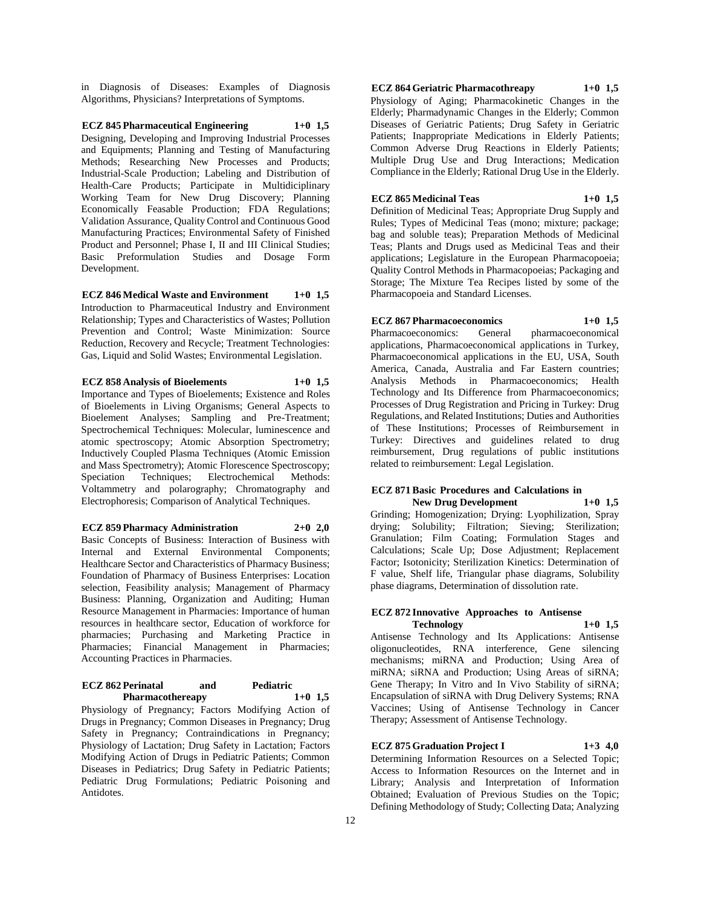in Diagnosis of Diseases: Examples of Diagnosis Algorithms, Physicians? Interpretations of Symptoms.

**ECZ 845 Pharmaceutical Engineering 1+0 1,5** Designing, Developing and Improving Industrial Processes and Equipments; Planning and Testing of Manufacturing Methods; Researching New Processes and Products; Industrial-Scale Production; Labeling and Distribution of Health-Care Products; Participate in Multidiciplinary Working Team for New Drug Discovery; Planning Economically Feasable Production; FDA Regulations; Validation Assurance, Quality Control and Continuous Good Manufacturing Practices; Environmental Safety of Finished Product and Personnel; Phase I, II and III Clinical Studies; Basic Preformulation Studies and Dosage Form Development.

**ECZ 846 Medical Waste and Environment 1+0 1,5** Introduction to Pharmaceutical Industry and Environment Relationship; Types and Characteristics of Wastes; Pollution Prevention and Control; Waste Minimization: Source Reduction, Recovery and Recycle; Treatment Technologies: Gas, Liquid and Solid Wastes; Environmental Legislation.

**ECZ 858 Analysis of Bioelements 1+0 1,5**

Importance and Types of Bioelements; Existence and Roles of Bioelements in Living Organisms; General Aspects to Bioelement Analyses; Sampling and Pre-Treatment; Spectrochemical Techniques: Molecular, luminescence and atomic spectroscopy; Atomic Absorption Spectrometry; Inductively Coupled Plasma Techniques (Atomic Emission and Mass Spectrometry); Atomic Florescence Spectroscopy; Speciation Techniques; Electrochemical Methods: Voltammetry and polarography; Chromatography and Electrophoresis; Comparison of Analytical Techniques.

**ECZ 859 Pharmacy Administration 2+0 2,0** Basic Concepts of Business: Interaction of Business with Internal and External Environmental Components; Healthcare Sector and Characteristics of Pharmacy Business; Foundation of Pharmacy of Business Enterprises: Location selection, Feasibility analysis; Management of Pharmacy Business: Planning, Organization and Auditing; Human Resource Management in Pharmacies: Importance of human resources in healthcare sector, Education of workforce for pharmacies; Purchasing and Marketing Practice in Pharmacies; Financial Management in Pharmacies; Accounting Practices in Pharmacies.

#### **ECZ 862 Perinatal and Pediatric Pharmacothereapy 1+0 1,5**

Physiology of Pregnancy; Factors Modifying Action of Drugs in Pregnancy; Common Diseases in Pregnancy; Drug Safety in Pregnancy; Contraindications in Pregnancy; Physiology of Lactation; Drug Safety in Lactation; Factors Modifying Action of Drugs in Pediatric Patients; Common Diseases in Pediatrics; Drug Safety in Pediatric Patients; Pediatric Drug Formulations; Pediatric Poisoning and Antidotes.

**ECZ 864 Geriatric Pharmacothreapy 1+0 1,5**

Physiology of Aging; Pharmacokinetic Changes in the Elderly; Pharmadynamic Changes in the Elderly; Common Diseases of Geriatric Patients; Drug Safety in Geriatric Patients; Inappropriate Medications in Elderly Patients; Common Adverse Drug Reactions in Elderly Patients; Multiple Drug Use and Drug Interactions; Medication Compliance in the Elderly; Rational Drug Use in the Elderly.

### **ECZ 865 Medicinal Teas 1+0 1,5**

Definition of Medicinal Teas; Appropriate Drug Supply and Rules; Types of Medicinal Teas (mono; mixture; package; bag and soluble teas); Preparation Methods of Medicinal Teas; Plants and Drugs used as Medicinal Teas and their applications; Legislature in the European Pharmacopoeia; Quality Control Methods in Pharmacopoeias; Packaging and Storage; The Mixture Tea Recipes listed by some of the Pharmacopoeia and Standard Licenses.

**ECZ 867 Pharmacoeconomics 1+0 1,5**

Pharmacoeconomics: General pharmacoeconomical applications, Pharmacoeconomical applications in Turkey, Pharmacoeconomical applications in the EU, USA, South America, Canada, Australia and Far Eastern countries; Analysis Methods in Pharmacoeconomics; Health Technology and Its Difference from Pharmacoeconomics; Processes of Drug Registration and Pricing in Turkey: Drug Regulations, and Related Institutions; Duties and Authorities of These Institutions; Processes of Reimbursement in Turkey: Directives and guidelines related to drug reimbursement, Drug regulations of public institutions related to reimbursement: Legal Legislation.

#### **ECZ 871 Basic Procedures and Calculations in New Drug Development 1+0 1,5**

Grinding; Homogenization; Drying: Lyophilization, Spray drying; Solubility; Filtration; Sieving; Sterilization; Granulation; Film Coating; Formulation Stages and Calculations; Scale Up; Dose Adjustment; Replacement Factor; Isotonicity; Sterilization Kinetics: Determination of F value, Shelf life, Triangular phase diagrams, Solubility phase diagrams, Determination of dissolution rate.

### **ECZ 872 Innovative Approaches to Antisense Technology 1+0 1,5**

Antisense Technology and Its Applications: Antisense oligonucleotides, RNA interference, Gene silencing mechanisms; miRNA and Production; Using Area of miRNA; siRNA and Production; Using Areas of siRNA; Gene Therapy; In Vitro and In Vivo Stability of siRNA; Encapsulation of siRNA with Drug Delivery Systems; RNA Vaccines; Using of Antisense Technology in Cancer Therapy; Assessment of Antisense Technology.

## **ECZ 875 Graduation Project I 1+3 4,0**

Determining Information Resources on a Selected Topic; Access to Information Resources on the Internet and in Library; Analysis and Interpretation of Information Obtained; Evaluation of Previous Studies on the Topic; Defining Methodology of Study; Collecting Data; Analyzing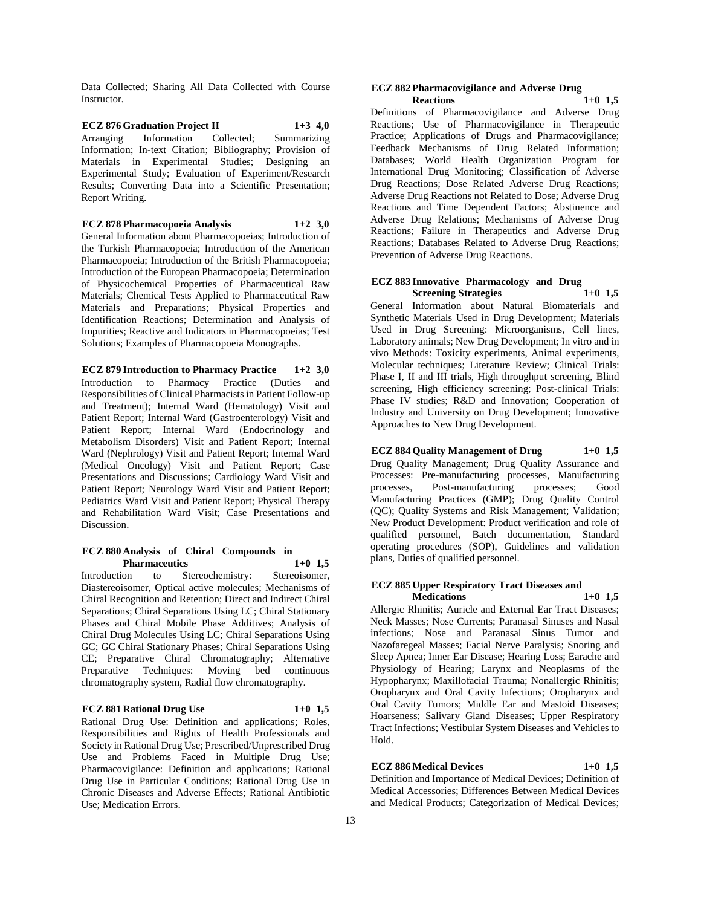Data Collected; Sharing All Data Collected with Course Instructor.

**ECZ 876 Graduation Project II 1+3 4,0** Arranging Information Collected; Summarizing Information; In-text Citation; Bibliography; Provision of Materials in Experimental Studies; Designing an Experimental Study; Evaluation of Experiment/Research Results; Converting Data into a Scientific Presentation; Report Writing.

**ECZ 878 Pharmacopoeia Analysis 1+2 3,0** General Information about Pharmacopoeias; Introduction of the Turkish Pharmacopoeia; Introduction of the American Pharmacopoeia; Introduction of the British Pharmacopoeia; Introduction of the European Pharmacopoeia; Determination of Physicochemical Properties of Pharmaceutical Raw Materials; Chemical Tests Applied to Pharmaceutical Raw Materials and Preparations; Physical Properties and Identification Reactions; Determination and Analysis of Impurities; Reactive and Indicators in Pharmacopoeias; Test Solutions; Examples of Pharmacopoeia Monographs.

**ECZ 879 Introduction to Pharmacy Practice 1+2 3,0** Introduction to Pharmacy Practice (Duties and Responsibilities of Clinical Pharmacists in Patient Follow-up and Treatment); Internal Ward (Hematology) Visit and Patient Report; Internal Ward (Gastroenterology) Visit and Patient Report; Internal Ward (Endocrinology and Metabolism Disorders) Visit and Patient Report; Internal Ward (Nephrology) Visit and Patient Report; Internal Ward (Medical Oncology) Visit and Patient Report; Case Presentations and Discussions; Cardiology Ward Visit and Patient Report; Neurology Ward Visit and Patient Report; Pediatrics Ward Visit and Patient Report; Physical Therapy and Rehabilitation Ward Visit; Case Presentations and Discussion.

#### **ECZ 880 Analysis of Chiral Compounds in Pharmaceutics 1+0 1,5**

Introduction to Stereochemistry: Stereoisomer, Diastereoisomer, Optical active molecules; Mechanisms of Chiral Recognition and Retention; Direct and Indirect Chiral Separations; Chiral Separations Using LC; Chiral Stationary Phases and Chiral Mobile Phase Additives; Analysis of Chiral Drug Molecules Using LC; Chiral Separations Using GC; GC Chiral Stationary Phases; Chiral Separations Using CE; Preparative Chiral Chromatography; Alternative Preparative Techniques: Moving bed continuous chromatography system, Radial flow chromatography.

### **ECZ 881 Rational Drug Use 1+0 1,5**

Rational Drug Use: Definition and applications; Roles, Responsibilities and Rights of Health Professionals and Society in Rational Drug Use; Prescribed/Unprescribed Drug Use and Problems Faced in Multiple Drug Use; Pharmacovigilance: Definition and applications; Rational Drug Use in Particular Conditions; Rational Drug Use in Chronic Diseases and Adverse Effects; Rational Antibiotic Use; Medication Errors.

#### **ECZ 882 Pharmacovigilance and Adverse Drug Reactions 1+0 1,5**

Definitions of Pharmacovigilance and Adverse Drug Reactions; Use of Pharmacovigilance in Therapeutic Practice; Applications of Drugs and Pharmacovigilance; Feedback Mechanisms of Drug Related Information; Databases; World Health Organization Program for International Drug Monitoring; Classification of Adverse Drug Reactions; Dose Related Adverse Drug Reactions; Adverse Drug Reactions not Related to Dose; Adverse Drug Reactions and Time Dependent Factors; Abstinence and Adverse Drug Relations; Mechanisms of Adverse Drug Reactions; Failure in Therapeutics and Adverse Drug Reactions; Databases Related to Adverse Drug Reactions; Prevention of Adverse Drug Reactions.

#### **ECZ 883 Innovative Pharmacology and Drug Screening Strategies 1+0 1,5**

General Information about Natural Biomaterials and Synthetic Materials Used in Drug Development; Materials Used in Drug Screening: Microorganisms, Cell lines, Laboratory animals; New Drug Development; In vitro and in vivo Methods: Toxicity experiments, Animal experiments, Molecular techniques; Literature Review; Clinical Trials: Phase I, II and III trials, High throughput screening, Blind screening, High efficiency screening; Post-clinical Trials: Phase IV studies; R&D and Innovation; Cooperation of Industry and University on Drug Development; Innovative Approaches to New Drug Development.

**ECZ 884 Quality Management of Drug 1+0 1,5**

Drug Quality Management; Drug Quality Assurance and Processes: Pre-manufacturing processes, Manufacturing processes, Post-manufacturing processes; Good Manufacturing Practices (GMP); Drug Quality Control (QC); Quality Systems and Risk Management; Validation; New Product Development: Product verification and role of qualified personnel, Batch documentation, Standard operating procedures (SOP), Guidelines and validation plans, Duties of qualified personnel.

## **ECZ 885 Upper Respiratory Tract Diseases and Medications 1+0 1,5**

Allergic Rhinitis; Auricle and External Ear Tract Diseases; Neck Masses; Nose Currents; Paranasal Sinuses and Nasal infections; Nose and Paranasal Sinus Tumor and Nazofaregeal Masses; Facial Nerve Paralysis; Snoring and Sleep Apnea; Inner Ear Disease; Hearing Loss; Earache and Physiology of Hearing; Larynx and Neoplasms of the Hypopharynx; Maxillofacial Trauma; Nonallergic Rhinitis; Oropharynx and Oral Cavity Infections; Oropharynx and Oral Cavity Tumors; Middle Ear and Mastoid Diseases; Hoarseness; Salivary Gland Diseases; Upper Respiratory Tract Infections; Vestibular System Diseases and Vehicles to Hold.

### **ECZ 886 Medical Devices 1+0 1,5**

Definition and Importance of Medical Devices; Definition of Medical Accessories; Differences Between Medical Devices and Medical Products; Categorization of Medical Devices;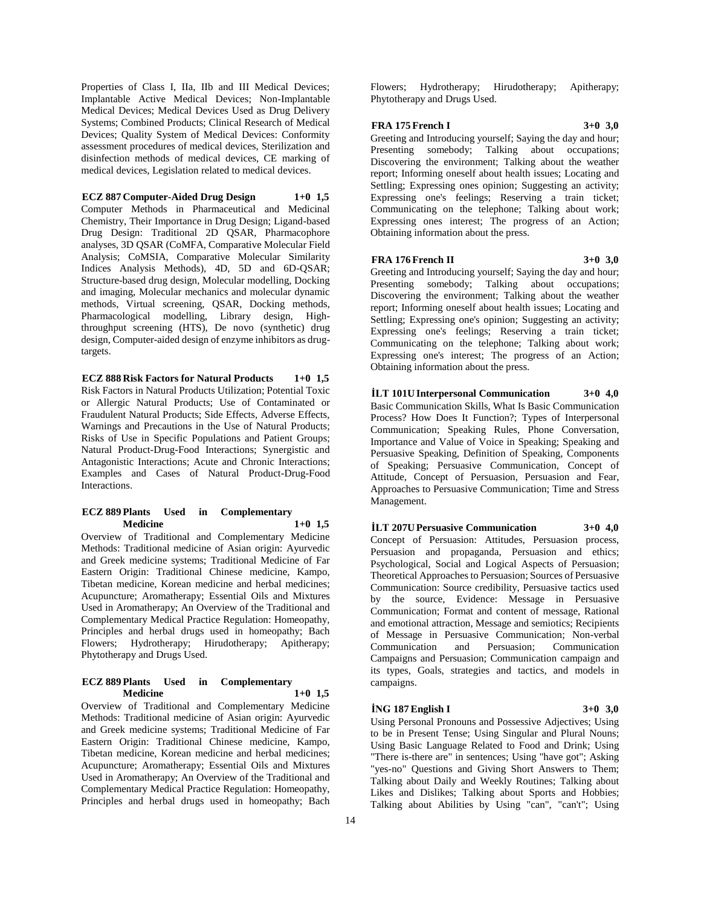Properties of Class I, IIa, IIb and III Medical Devices; Implantable Active Medical Devices; Non-Implantable Medical Devices; Medical Devices Used as Drug Delivery Systems; Combined Products; Clinical Research of Medical Devices; Quality System of Medical Devices: Conformity assessment procedures of medical devices, Sterilization and disinfection methods of medical devices, CE marking of medical devices, Legislation related to medical devices.

## **ECZ 887 Computer-Aided Drug Design 1+0 1,5**

Computer Methods in Pharmaceutical and Medicinal Chemistry, Their Importance in Drug Design; Ligand-based Drug Design: Traditional 2D QSAR, Pharmacophore analyses, 3D QSAR (CoMFA, Comparative Molecular Field Analysis; CoMSIA, Comparative Molecular Similarity Indices Analysis Methods), 4D, 5D and 6D-QSAR; Structure-based drug design, Molecular modelling, Docking and imaging, Molecular mechanics and molecular dynamic methods, Virtual screening, QSAR, Docking methods, Pharmacological modelling, Library design, Highthroughput screening (HTS), De novo (synthetic) drug design, Computer-aided design of enzyme inhibitors as drugtargets.

**ECZ 888 Risk Factors for Natural Products 1+0 1,5** Risk Factors in Natural Products Utilization; Potential Toxic or Allergic Natural Products; Use of Contaminated or Fraudulent Natural Products; Side Effects, Adverse Effects, Warnings and Precautions in the Use of Natural Products; Risks of Use in Specific Populations and Patient Groups; Natural Product-Drug-Food Interactions; Synergistic and Antagonistic Interactions; Acute and Chronic Interactions; Examples and Cases of Natural Product-Drug-Food Interactions.

## **ECZ 889 Plants Used in Complementary Medicine 1+0 1,5**

Overview of Traditional and Complementary Medicine Methods: Traditional medicine of Asian origin: Ayurvedic and Greek medicine systems; Traditional Medicine of Far Eastern Origin: Traditional Chinese medicine, Kampo, Tibetan medicine, Korean medicine and herbal medicines; Acupuncture; Aromatherapy; Essential Oils and Mixtures Used in Aromatherapy; An Overview of the Traditional and Complementary Medical Practice Regulation: Homeopathy, Principles and herbal drugs used in homeopathy; Bach Flowers; Hydrotherapy; Hirudotherapy; Apitherapy; Phytotherapy and Drugs Used.

## **ECZ 889 Plants Used in Complementary Medicine 1+0 1,5**

Overview of Traditional and Complementary Medicine Methods: Traditional medicine of Asian origin: Ayurvedic and Greek medicine systems; Traditional Medicine of Far Eastern Origin: Traditional Chinese medicine, Kampo, Tibetan medicine, Korean medicine and herbal medicines; Acupuncture; Aromatherapy; Essential Oils and Mixtures Used in Aromatherapy; An Overview of the Traditional and Complementary Medical Practice Regulation: Homeopathy, Principles and herbal drugs used in homeopathy; Bach

Flowers; Hydrotherapy; Hirudotherapy; Apitherapy; Phytotherapy and Drugs Used.

### **FRA 175 French I 3+0 3,0**

Greeting and Introducing yourself; Saying the day and hour; Presenting somebody; Talking about occupations; Discovering the environment; Talking about the weather report; Informing oneself about health issues; Locating and Settling; Expressing ones opinion; Suggesting an activity; Expressing one's feelings; Reserving a train ticket; Communicating on the telephone; Talking about work; Expressing ones interest; The progress of an Action; Obtaining information about the press.

#### **FRA 176 French II 3+0 3,0**

Greeting and Introducing yourself; Saying the day and hour; Presenting somebody; Talking about occupations; Discovering the environment; Talking about the weather report; Informing oneself about health issues; Locating and Settling; Expressing one's opinion; Suggesting an activity; Expressing one's feelings; Reserving a train ticket; Communicating on the telephone; Talking about work; Expressing one's interest; The progress of an Action; Obtaining information about the press.

# **İLT 101U Interpersonal Communication 3+0 4,0** Basic Communication Skills, What Is Basic Communication Process? How Does It Function?; Types of Interpersonal Communication; Speaking Rules, Phone Conversation,

Importance and Value of Voice in Speaking; Speaking and Persuasive Speaking, Definition of Speaking, Components of Speaking; Persuasive Communication, Concept of Attitude, Concept of Persuasion, Persuasion and Fear, Approaches to Persuasive Communication; Time and Stress Management.

## **İLT 207U Persuasive Communication 3+0 4,0**

Concept of Persuasion: Attitudes, Persuasion process, Persuasion and propaganda, Persuasion and ethics; Psychological, Social and Logical Aspects of Persuasion; Theoretical Approaches to Persuasion; Sources of Persuasive Communication: Source credibility, Persuasive tactics used by the source, Evidence: Message in Persuasive Communication; Format and content of message, Rational and emotional attraction, Message and semiotics; Recipients of Message in Persuasive Communication; Non-verbal Communication and Persuasion; Communication Campaigns and Persuasion; Communication campaign and its types, Goals, strategies and tactics, and models in campaigns.

#### **İNG 187 English I 3+0 3,0**

Using Personal Pronouns and Possessive Adjectives; Using to be in Present Tense; Using Singular and Plural Nouns; Using Basic Language Related to Food and Drink; Using "There is-there are" in sentences; Using "have got"; Asking "yes-no" Questions and Giving Short Answers to Them; Talking about Daily and Weekly Routines; Talking about Likes and Dislikes; Talking about Sports and Hobbies; Talking about Abilities by Using "can", "can't"; Using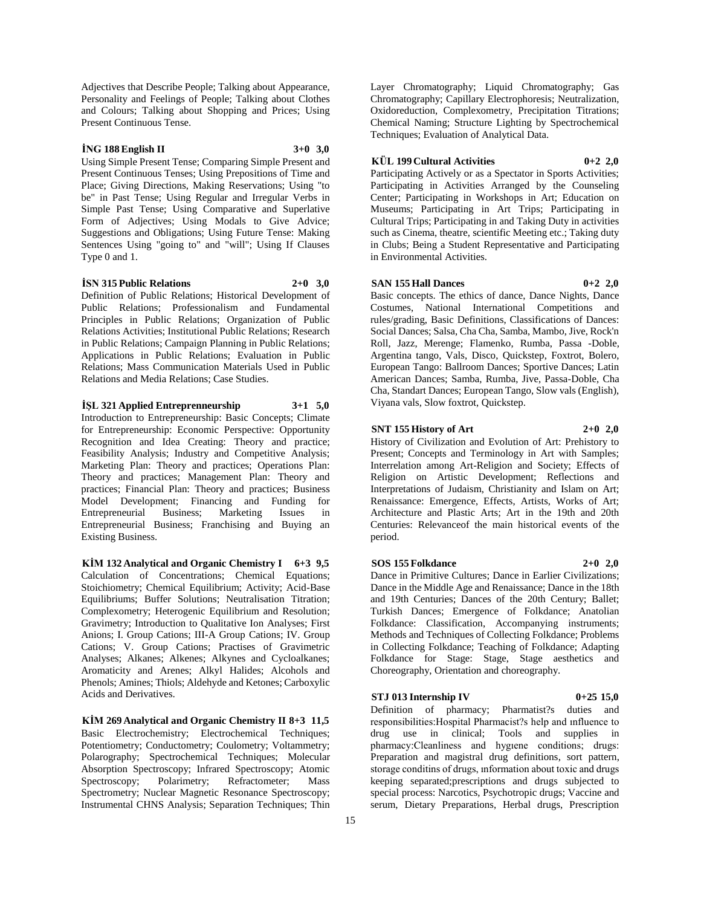Adjectives that Describe People; Talking about Appearance, Personality and Feelings of People; Talking about Clothes and Colours; Talking about Shopping and Prices; Using Present Continuous Tense.

## **İNG 188 English II 3+0 3,0**

Using Simple Present Tense; Comparing Simple Present and Present Continuous Tenses; Using Prepositions of Time and Place; Giving Directions, Making Reservations; Using "to be" in Past Tense; Using Regular and Irregular Verbs in Simple Past Tense; Using Comparative and Superlative Form of Adjectives; Using Modals to Give Advice; Suggestions and Obligations; Using Future Tense: Making Sentences Using "going to" and "will"; Using If Clauses Type 0 and 1.

#### **İSN 315 Public Relations 2+0 3,0**

Definition of Public Relations; Historical Development of Public Relations; Professionalism and Fundamental Principles in Public Relations; Organization of Public Relations Activities; Institutional Public Relations; Research in Public Relations; Campaign Planning in Public Relations; Applications in Public Relations; Evaluation in Public Relations; Mass Communication Materials Used in Public Relations and Media Relations; Case Studies.

## **İŞL 321 Applied Entreprenneurship 3+1 5,0**

Introduction to Entrepreneurship: Basic Concepts; Climate for Entrepreneurship: Economic Perspective: Opportunity Recognition and Idea Creating: Theory and practice; Feasibility Analysis; Industry and Competitive Analysis; Marketing Plan: Theory and practices; Operations Plan: Theory and practices; Management Plan: Theory and practices; Financial Plan: Theory and practices; Business Model Development; Financing and Funding for Entrepreneurial Business; Marketing Issues in Entrepreneurial Business; Franchising and Buying an Existing Business.

**KİM 132 Analytical and Organic Chemistry I 6+3 9,5** Calculation of Concentrations; Chemical Equations; Stoichiometry; Chemical Equilibrium; Activity; Acid-Base Equilibriums; Buffer Solutions; Neutralisation Titration; Complexometry; Heterogenic Equilibrium and Resolution; Gravimetry; Introduction to Qualitative Ion Analyses; First Anions; I. Group Cations; III-A Group Cations; IV. Group Cations; V. Group Cations; Practises of Gravimetric Analyses; Alkanes; Alkenes; Alkynes and Cycloalkanes; Aromaticity and Arenes; Alkyl Halides; Alcohols and Phenols; Amines; Thiols; Aldehyde and Ketones; Carboxylic Acids and Derivatives.

**KİM 269 Analytical and Organic Chemistry II 8+3 11,5** Basic Electrochemistry; Electrochemical Techniques; Potentiometry; Conductometry; Coulometry; Voltammetry; Polarography; Spectrochemical Techniques; Molecular Absorption Spectroscopy; Infrared Spectroscopy; Atomic Spectroscopy; Polarimetry; Refractometer; Mass Spectrometry; Nuclear Magnetic Resonance Spectroscopy; Instrumental CHNS Analysis; Separation Techniques; Thin

Layer Chromatography; Liquid Chromatography; Gas Chromatography; Capillary Electrophoresis; Neutralization, Oxidoreduction, Complexometry, Precipitation Titrations; Chemical Naming; Structure Lighting by Spectrochemical Techniques; Evaluation of Analytical Data.

# **KÜL 199 Cultural Activities 0+2 2,0**

Participating Actively or as a Spectator in Sports Activities; Participating in Activities Arranged by the Counseling Center; Participating in Workshops in Art; Education on Museums; Participating in Art Trips; Participating in Cultural Trips; Participating in and Taking Duty in activities such as Cinema, theatre, scientific Meeting etc.; Taking duty in Clubs; Being a Student Representative and Participating in Environmental Activities.

# **SAN 155 Hall Dances 0+2 2,0**

Basic concepts. The ethics of dance, Dance Nights, Dance Costumes, National International Competitions and rules/grading, Basic Definitions, Classifications of Dances: Social Dances; Salsa, Cha Cha, Samba, Mambo, Jive, Rock'n Roll, Jazz, Merenge; Flamenko, Rumba, Passa -Doble, Argentina tango, Vals, Disco, Quickstep, Foxtrot, Bolero, European Tango: Ballroom Dances; Sportive Dances; Latin American Dances; Samba, Rumba, Jive, Passa-Doble, Cha Cha, Standart Dances; European Tango, Slow vals (English), Viyana vals, Slow foxtrot, Quickstep.

#### **SNT 155 History of Art 2+0 2,0**

History of Civilization and Evolution of Art: Prehistory to Present; Concepts and Terminology in Art with Samples; Interrelation among Art-Religion and Society; Effects of Religion on Artistic Development; Reflections and Interpretations of Judaism, Christianity and Islam on Art; Renaissance: Emergence, Effects, Artists, Works of Art; Architecture and Plastic Arts; Art in the 19th and 20th Centuries: Relevanceof the main historical events of the period.

#### **SOS 155 Folkdance 2+0 2,0**

Dance in Primitive Cultures; Dance in Earlier Civilizations; Dance in the Middle Age and Renaissance; Dance in the 18th and 19th Centuries; Dances of the 20th Century; Ballet; Turkish Dances; Emergence of Folkdance; Anatolian Folkdance: Classification, Accompanying instruments; Methods and Techniques of Collecting Folkdance; Problems in Collecting Folkdance; Teaching of Folkdance; Adapting Folkdance for Stage: Stage, Stage aesthetics and Choreography, Orientation and choreography.

**STJ 013 Internship IV 0+25 15,0** Definition of pharmacy; Pharmatist?s duties and responsibilities:Hospital Pharmacist?s help and ınfluence to drug use in clinical; Tools and supplies in pharmacy:Cleanliness and hygıene conditions; drugs: Preparation and magistral drug definitions, sort pattern, storage conditins of drugs, ınformation about toxic and drugs keeping separated;prescriptions and drugs subjected to special process: Narcotics, Psychotropic drugs; Vaccine and serum, Dietary Preparations, Herbal drugs, Prescription